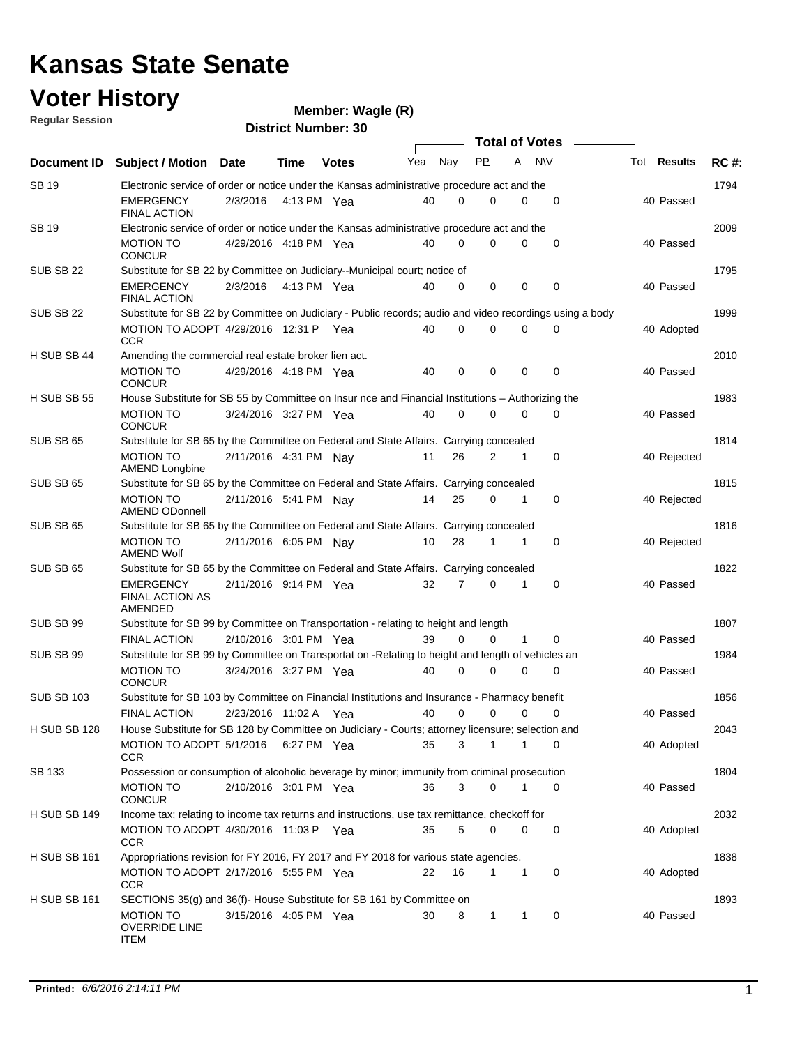# **Voter History**<br> **Regular Session**<br> **Cindish**

| <b>Regular Session</b> |                                                                                                          |                         |               | $m$ e $m$ uludi. Yyayi $m(n)$ |     |                |                       |                |             |                    |             |
|------------------------|----------------------------------------------------------------------------------------------------------|-------------------------|---------------|-------------------------------|-----|----------------|-----------------------|----------------|-------------|--------------------|-------------|
|                        |                                                                                                          |                         |               | <b>District Number: 30</b>    |     |                | <b>Total of Votes</b> |                |             |                    |             |
| Document ID            | <b>Subject / Motion</b>                                                                                  | <b>Date</b>             | Time          | <b>Votes</b>                  | Yea | Nay            | <b>PP</b>             | A              | <b>NV</b>   | <b>Tot Results</b> | <b>RC#:</b> |
| <b>SB19</b>            | Electronic service of order or notice under the Kansas administrative procedure act and the              |                         |               |                               |     |                |                       |                |             |                    | 1794        |
|                        | <b>EMERGENCY</b><br><b>FINAL ACTION</b>                                                                  | 2/3/2016                | 4:13 PM $Yea$ |                               | 40  | $\Omega$       | 0                     | 0              | $\mathbf 0$ | 40 Passed          |             |
| <b>SB 19</b>           | Electronic service of order or notice under the Kansas administrative procedure act and the              |                         |               |                               |     |                |                       |                |             |                    | 2009        |
|                        | <b>MOTION TO</b><br><b>CONCUR</b>                                                                        | 4/29/2016  4:18 PM  Yea |               |                               | 40  | $\mathbf 0$    | $\Omega$              | 0              | $\mathbf 0$ | 40 Passed          |             |
| SUB SB 22              | Substitute for SB 22 by Committee on Judiciary--Municipal court; notice of                               |                         |               |                               |     |                |                       |                |             |                    | 1795        |
|                        | <b>EMERGENCY</b><br><b>FINAL ACTION</b>                                                                  | 2/3/2016                | 4:13 PM Yea   |                               | 40  | 0              | 0                     | 0              | 0           | 40 Passed          |             |
| SUB SB 22              | Substitute for SB 22 by Committee on Judiciary - Public records; audio and video recordings using a body |                         |               |                               |     |                |                       |                |             |                    | 1999        |
|                        | MOTION TO ADOPT 4/29/2016 12:31 P Yea<br><b>CCR</b>                                                      |                         |               |                               | 40  | $\Omega$       | 0                     | 0              | 0           | 40 Adopted         |             |
| H SUB SB 44            | Amending the commercial real estate broker lien act.                                                     |                         |               |                               |     |                |                       |                |             |                    | 2010        |
|                        | <b>MOTION TO</b><br><b>CONCUR</b>                                                                        | 4/29/2016 4:18 PM Yea   |               |                               | 40  | 0              | 0                     | 0              | $\mathbf 0$ | 40 Passed          |             |
| H SUB SB 55            | House Substitute for SB 55 by Committee on Insur nce and Financial Institutions - Authorizing the        |                         |               |                               |     |                |                       |                |             |                    | 1983        |
|                        | <b>MOTION TO</b><br><b>CONCUR</b>                                                                        | 3/24/2016 3:27 PM Yea   |               |                               | 40  | $\mathbf 0$    | $\mathbf 0$           | 0              | 0           | 40 Passed          |             |
| SUB SB 65              | Substitute for SB 65 by the Committee on Federal and State Affairs. Carrying concealed                   |                         |               |                               |     |                |                       |                |             |                    | 1814        |
|                        | <b>MOTION TO</b><br><b>AMEND Longbine</b>                                                                | 2/11/2016 4:31 PM Nay   |               |                               | 11  | 26             | 2                     | 1              | 0           | 40 Rejected        |             |
| SUB SB 65              | Substitute for SB 65 by the Committee on Federal and State Affairs. Carrying concealed                   |                         |               |                               |     |                |                       |                |             |                    | 1815        |
|                        | <b>MOTION TO</b><br><b>AMEND ODonnell</b>                                                                | 2/11/2016 5:41 PM Nav   |               |                               | 14  | 25             | $\Omega$              | $\mathbf{1}$   | 0           | 40 Rejected        |             |
| SUB SB 65              | Substitute for SB 65 by the Committee on Federal and State Affairs. Carrying concealed                   |                         |               |                               |     |                |                       |                |             |                    | 1816        |
|                        | <b>MOTION TO</b><br>AMEND Wolf                                                                           | 2/11/2016 6:05 PM Nay   |               |                               | 10  | 28             | 1                     | 1              | 0           | 40 Rejected        |             |
| SUB SB 65              | Substitute for SB 65 by the Committee on Federal and State Affairs. Carrying concealed                   |                         |               |                               |     |                |                       |                |             |                    | 1822        |
|                        | EMERGENCY<br>FINAL ACTION AS<br>AMENDED                                                                  | 2/11/2016 9:14 PM Yea   |               |                               | 32  | $\overline{7}$ | $\mathbf 0$           | 1              | 0           | 40 Passed          |             |
| SUB SB 99              | Substitute for SB 99 by Committee on Transportation - relating to height and length                      |                         |               |                               |     |                |                       |                |             |                    | 1807        |
|                        | <b>FINAL ACTION</b>                                                                                      | 2/10/2016 3:01 PM Yea   |               |                               | 39  | $\mathbf 0$    | 0                     | $\mathbf{1}$   | 0           | 40 Passed          |             |
| SUB SB 99              | Substitute for SB 99 by Committee on Transportat on -Relating to height and length of vehicles an        |                         |               |                               |     |                |                       |                |             |                    | 1984        |
|                        | <b>MOTION TO</b><br><b>CONCUR</b>                                                                        | 3/24/2016 3:27 PM Yea   |               |                               | 40  | $\Omega$       | 0                     | 0              | 0           | 40 Passed          |             |
| <b>SUB SB 103</b>      | Substitute for SB 103 by Committee on Financial Institutions and Insurance - Pharmacy benefit            |                         |               |                               |     |                |                       |                |             |                    | 1856        |
|                        | FINAL ACTION                                                                                             | 2/23/2016 11:02 A Yea   |               |                               | 40  | 0              | 0                     | 0              | 0           | 40 Passed          |             |
| H SUB SB 128           | House Substitute for SB 128 by Committee on Judiciary - Courts; attorney licensure; selection and        |                         |               |                               |     |                |                       |                |             |                    | 2043        |
|                        | MOTION TO ADOPT 5/1/2016 6:27 PM Yea<br><b>CCR</b>                                                       |                         |               |                               | 35  | 3              |                       | 1              | 0           | 40 Adopted         |             |
| SB 133                 | Possession or consumption of alcoholic beverage by minor; immunity from criminal prosecution             |                         |               |                               |     |                |                       |                |             |                    | 1804        |
|                        | MOTION TO<br>CONCUR                                                                                      | 2/10/2016 3:01 PM Yea   |               |                               | 36  | 3              | 0                     | 1              | 0           | 40 Passed          |             |
| H SUB SB 149           | Income tax; relating to income tax returns and instructions, use tax remittance, checkoff for            |                         |               |                               |     |                |                       |                |             |                    | 2032        |
|                        | MOTION TO ADOPT 4/30/2016 11:03 P Yea<br><b>CCR</b>                                                      |                         |               |                               | 35  | 5              | 0                     | 0              | 0           | 40 Adopted         |             |
| <b>H SUB SB 161</b>    | Appropriations revision for FY 2016, FY 2017 and FY 2018 for various state agencies.                     |                         |               |                               |     |                |                       |                |             |                    | 1838        |
|                        | MOTION TO ADOPT 2/17/2016 5:55 PM Yea<br><b>CCR</b>                                                      |                         |               |                               | 22  | 16             | 1                     | $\overline{1}$ | 0           | 40 Adopted         |             |
| <b>H SUB SB 161</b>    | SECTIONS 35(g) and 36(f)- House Substitute for SB 161 by Committee on                                    |                         |               |                               |     |                |                       |                |             |                    | 1893        |
|                        | <b>MOTION TO</b><br><b>OVERRIDE LINE</b><br>ITEM                                                         | 3/15/2016 4:05 PM Yea   |               |                               | 30  | 8              | $\mathbf{1}$          | 1              | 0           | 40 Passed          |             |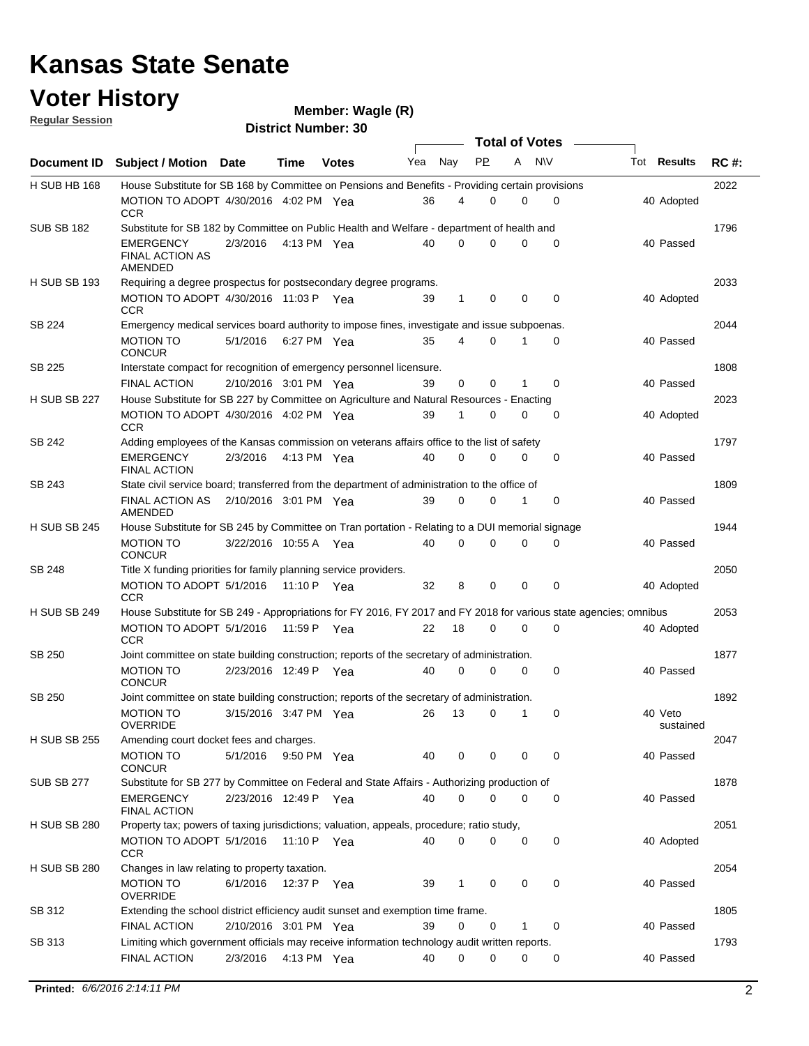## **Voter History**

| <b>Regular Session</b> |                                                                                                                   |                       |             | $m$ e $m$ uludi. Yyayi $m(n)$ |     |              |           |              |                       |                      |             |
|------------------------|-------------------------------------------------------------------------------------------------------------------|-----------------------|-------------|-------------------------------|-----|--------------|-----------|--------------|-----------------------|----------------------|-------------|
|                        |                                                                                                                   |                       |             | <b>District Number: 30</b>    |     |              |           |              | <b>Total of Votes</b> |                      |             |
| Document ID            | <b>Subject / Motion Date</b>                                                                                      |                       | Time        | <b>Votes</b>                  | Yea | Nay          | <b>PP</b> |              | A NW                  | <b>Tot Results</b>   | <b>RC#:</b> |
| H SUB HB 168           | House Substitute for SB 168 by Committee on Pensions and Benefits - Providing certain provisions                  |                       |             |                               |     |              |           |              |                       |                      | 2022        |
|                        | MOTION TO ADOPT 4/30/2016 4:02 PM Yea<br><b>CCR</b>                                                               |                       |             |                               | 36  | 4            | $\Omega$  | 0            | $\mathbf 0$           | 40 Adopted           |             |
| <b>SUB SB 182</b>      | Substitute for SB 182 by Committee on Public Health and Welfare - department of health and                        |                       |             |                               |     |              |           |              |                       |                      | 1796        |
|                        | EMERGENCY<br><b>FINAL ACTION AS</b><br>AMENDED                                                                    | 2/3/2016              |             | 4:13 PM Yea                   | 40  | $\Omega$     | $\Omega$  | $\Omega$     | $\mathbf 0$           | 40 Passed            |             |
| <b>H SUB SB 193</b>    | Requiring a degree prospectus for postsecondary degree programs.                                                  |                       |             |                               |     |              |           |              |                       |                      | 2033        |
|                        | MOTION TO ADOPT 4/30/2016 11:03 P Yea<br><b>CCR</b>                                                               |                       |             |                               | 39  | $\mathbf{1}$ | 0         | 0            | 0                     | 40 Adopted           |             |
| SB 224                 | Emergency medical services board authority to impose fines, investigate and issue subpoenas.                      |                       |             |                               |     |              |           |              |                       |                      | 2044        |
|                        | <b>MOTION TO</b><br><b>CONCUR</b>                                                                                 | 5/1/2016 6:27 PM Yea  |             |                               | 35  | 4            | $\Omega$  | 1            | 0                     | 40 Passed            |             |
| SB 225                 | Interstate compact for recognition of emergency personnel licensure.                                              |                       |             |                               |     |              |           |              |                       |                      | 1808        |
| <b>H SUB SB 227</b>    | <b>FINAL ACTION</b><br>House Substitute for SB 227 by Committee on Agriculture and Natural Resources - Enacting   | 2/10/2016 3:01 PM Yea |             |                               | 39  | 0            | 0         |              | 0                     | 40 Passed            | 2023        |
|                        | MOTION TO ADOPT 4/30/2016 4:02 PM Yea                                                                             |                       |             |                               | 39  | 1            | 0         | 0            | 0                     | 40 Adopted           |             |
| SB 242                 | CCR<br>Adding employees of the Kansas commission on veterans affairs office to the list of safety                 |                       |             |                               |     |              |           |              |                       |                      | 1797        |
|                        | <b>EMERGENCY</b><br><b>FINAL ACTION</b>                                                                           | 2/3/2016              | 4:13 PM Yea |                               | 40  | 0            | $\Omega$  | 0            | 0                     | 40 Passed            |             |
| SB 243                 | State civil service board; transferred from the department of administration to the office of                     |                       |             |                               |     |              |           |              |                       |                      | 1809        |
|                        | FINAL ACTION AS 2/10/2016 3:01 PM Yea<br>AMENDED                                                                  |                       |             |                               | 39  | $\Omega$     | $\Omega$  | $\mathbf{1}$ | $\mathbf 0$           | 40 Passed            |             |
| <b>H SUB SB 245</b>    | House Substitute for SB 245 by Committee on Tran portation - Relating to a DUI memorial signage                   |                       |             |                               |     |              |           |              |                       |                      | 1944        |
|                        | <b>MOTION TO</b><br><b>CONCUR</b>                                                                                 | 3/22/2016 10:55 A Yea |             |                               | 40  | $\Omega$     | $\Omega$  | $\Omega$     | $\Omega$              | 40 Passed            |             |
| SB 248                 | Title X funding priorities for family planning service providers.                                                 |                       |             |                               |     |              |           |              |                       |                      | 2050        |
|                        | MOTION TO ADOPT 5/1/2016 11:10 P Yea<br><b>CCR</b>                                                                |                       |             |                               | 32  | 8            | 0         | 0            | $\mathbf 0$           | 40 Adopted           |             |
| <b>H SUB SB 249</b>    | House Substitute for SB 249 - Appropriations for FY 2016, FY 2017 and FY 2018 for various state agencies; omnibus |                       |             |                               |     |              |           |              |                       |                      | 2053        |
|                        | MOTION TO ADOPT 5/1/2016<br><b>CCR</b>                                                                            |                       | 11:59 P Yea |                               | 22  | 18           | $\Omega$  | 0            | $\mathbf 0$           | 40 Adopted           |             |
| SB 250                 | Joint committee on state building construction; reports of the secretary of administration.                       |                       |             |                               |     | $\mathbf 0$  |           |              |                       | 40 Passed            | 1877        |
|                        | <b>MOTION TO</b><br><b>CONCUR</b>                                                                                 | 2/23/2016 12:49 P Yea |             |                               | 40  |              | 0         | 0            | $\mathbf 0$           |                      |             |
| SB 250                 | Joint committee on state building construction; reports of the secretary of administration.                       |                       |             |                               |     |              |           |              |                       |                      | 1892        |
|                        | <b>MOTION TO</b><br><b>OVERRIDE</b>                                                                               | 3/15/2016 3:47 PM Yea |             |                               | 26  | 13           | 0         | 1            | 0                     | 40 Veto<br>sustained |             |
| <b>H SUB SB 255</b>    | Amending court docket fees and charges.                                                                           |                       |             |                               |     |              |           |              |                       |                      | 2047        |
|                        | <b>MOTION TO</b><br><b>CONCUR</b>                                                                                 | 5/1/2016              |             | 9:50 PM Yea                   | 40  | 0            | 0         | 0            | $\mathbf 0$           | 40 Passed            |             |
| <b>SUB SB 277</b>      | Substitute for SB 277 by Committee on Federal and State Affairs - Authorizing production of                       |                       |             |                               |     |              |           |              |                       |                      | 1878        |
|                        | EMERGENCY<br><b>FINAL ACTION</b>                                                                                  | 2/23/2016 12:49 P Yea |             |                               | 40  | 0            | 0         | 0            | 0                     | 40 Passed            |             |
| <b>H SUB SB 280</b>    | Property tax; powers of taxing jurisdictions; valuation, appeals, procedure; ratio study,                         |                       |             |                               |     |              |           |              |                       |                      | 2051        |
|                        | MOTION TO ADOPT 5/1/2016<br>CCR                                                                                   |                       | 11:10 P Yea |                               | 40  | $\mathbf 0$  | 0         | 0            | 0                     | 40 Adopted           |             |
| <b>H SUB SB 280</b>    | Changes in law relating to property taxation.<br><b>MOTION TO</b>                                                 | 6/1/2016              | 12:37 P Yea |                               | 39  | $\mathbf{1}$ | 0         | 0            | 0                     | 40 Passed            | 2054        |
| SB 312                 | <b>OVERRIDE</b><br>Extending the school district efficiency audit sunset and exemption time frame.                |                       |             |                               |     |              |           |              |                       |                      | 1805        |
|                        | <b>FINAL ACTION</b>                                                                                               | 2/10/2016 3:01 PM Yea |             |                               | 39  | 0            | 0         | 1            | 0                     | 40 Passed            |             |
| SB 313                 | Limiting which government officials may receive information technology audit written reports.                     |                       |             |                               |     |              |           |              |                       |                      | 1793        |
|                        | <b>FINAL ACTION</b>                                                                                               | 2/3/2016              |             | 4:13 PM Yea                   | 40  | 0            | 0         | 0            | 0                     | 40 Passed            |             |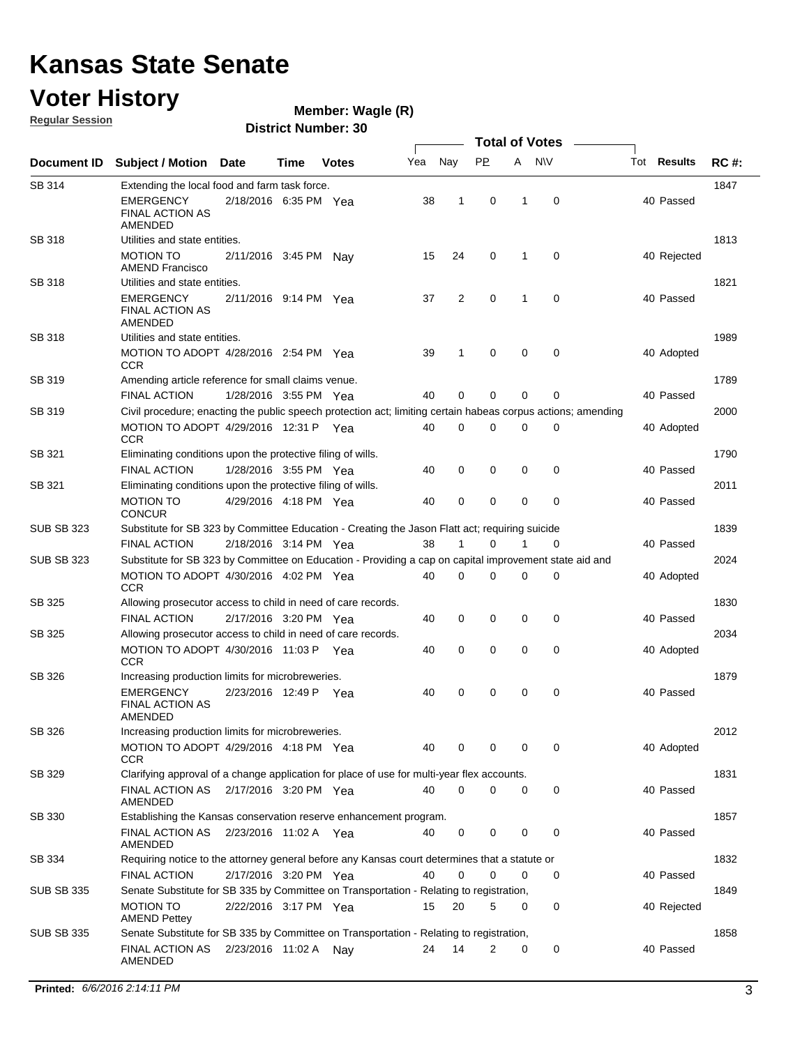## **Voter History**

**Regular Session**

**Wagle (R)**

|                   |                                                                                                              |                       |      |              |     |              |           |             | <b>Total of Votes</b> |             |             |
|-------------------|--------------------------------------------------------------------------------------------------------------|-----------------------|------|--------------|-----|--------------|-----------|-------------|-----------------------|-------------|-------------|
| Document ID       | <b>Subject / Motion</b>                                                                                      | Date                  | Time | <b>Votes</b> | Yea | Nay          | <b>PP</b> |             | A NW                  | Tot Results | <b>RC#:</b> |
| SB 314            | Extending the local food and farm task force.                                                                |                       |      |              |     |              |           |             |                       |             | 1847        |
|                   | <b>EMERGENCY</b><br><b>FINAL ACTION AS</b><br>AMENDED                                                        | 2/18/2016 6:35 PM Yea |      |              | 38  | $\mathbf{1}$ | 0         | 1           | 0                     | 40 Passed   |             |
| SB 318            | Utilities and state entities.                                                                                |                       |      |              |     |              |           |             |                       |             | 1813        |
|                   | <b>MOTION TO</b><br><b>AMEND Francisco</b>                                                                   | 2/11/2016 3:45 PM Nay |      |              | 15  | 24           | 0         | 1           | 0                     | 40 Rejected |             |
| <b>SB 318</b>     | Utilities and state entities.                                                                                |                       |      |              |     |              |           |             |                       |             | 1821        |
|                   | <b>EMERGENCY</b><br><b>FINAL ACTION AS</b><br><b>AMENDED</b>                                                 | 2/11/2016 9:14 PM Yea |      |              | 37  | 2            | 0         | 1           | $\mathbf 0$           | 40 Passed   |             |
| SB 318            | Utilities and state entities.                                                                                |                       |      |              |     |              |           |             |                       |             | 1989        |
|                   | MOTION TO ADOPT $4/28/2016$ 2:54 PM Yea<br><b>CCR</b>                                                        |                       |      |              | 39  | 1            | 0         | $\mathbf 0$ | 0                     | 40 Adopted  |             |
| SB 319            | Amending article reference for small claims venue.                                                           |                       |      |              |     |              |           |             |                       |             | 1789        |
|                   | <b>FINAL ACTION</b>                                                                                          | 1/28/2016 3:55 PM Yea |      |              | 40  | 0            | 0         | 0           | $\mathbf 0$           | 40 Passed   |             |
| SB 319            | Civil procedure; enacting the public speech protection act; limiting certain habeas corpus actions; amending |                       |      |              |     |              |           |             |                       |             | 2000        |
|                   | MOTION TO ADOPT 4/29/2016 12:31 P Yea<br><b>CCR</b>                                                          |                       |      |              | 40  | 0            | $\Omega$  | $\Omega$    | 0                     | 40 Adopted  |             |
| SB 321            | Eliminating conditions upon the protective filing of wills.                                                  |                       |      |              |     |              |           |             |                       |             | 1790        |
|                   | <b>FINAL ACTION</b>                                                                                          | 1/28/2016 3:55 PM Yea |      |              | 40  | 0            | 0         | 0           | 0                     | 40 Passed   |             |
| SB 321            | Eliminating conditions upon the protective filing of wills.<br><b>MOTION TO</b><br><b>CONCUR</b>             | 4/29/2016 4:18 PM Yea |      |              | 40  | 0            | 0         | 0           | 0                     | 40 Passed   | 2011        |
| <b>SUB SB 323</b> | Substitute for SB 323 by Committee Education - Creating the Jason Flatt act; requiring suicide               |                       |      |              |     |              |           |             |                       |             | 1839        |
|                   | <b>FINAL ACTION</b>                                                                                          | 2/18/2016 3:14 PM Yea |      |              | 38  | 1            | 0         | 1           | 0                     | 40 Passed   |             |
| <b>SUB SB 323</b> | Substitute for SB 323 by Committee on Education - Providing a cap on capital improvement state aid and       |                       |      |              |     |              |           |             |                       |             | 2024        |
|                   | MOTION TO ADOPT 4/30/2016 4:02 PM Yea<br>CCR                                                                 |                       |      |              | 40  | 0            | 0         | 0           | 0                     | 40 Adopted  |             |
| SB 325            | Allowing prosecutor access to child in need of care records.                                                 |                       |      |              |     |              |           |             |                       |             | 1830        |
|                   | <b>FINAL ACTION</b>                                                                                          | 2/17/2016 3:20 PM Yea |      |              | 40  | 0            | 0         | $\mathbf 0$ | 0                     | 40 Passed   |             |
| SB 325            | Allowing prosecutor access to child in need of care records.                                                 |                       |      |              |     |              |           |             |                       |             | 2034        |
|                   | MOTION TO ADOPT 4/30/2016 11:03 P Yea<br><b>CCR</b>                                                          |                       |      |              | 40  | 0            | 0         | $\mathbf 0$ | 0                     | 40 Adopted  |             |
| SB 326            | Increasing production limits for microbreweries.                                                             |                       |      |              |     |              |           |             |                       |             | 1879        |
|                   | <b>EMERGENCY</b><br>FINAL ACTION AS<br>AMENDED                                                               | 2/23/2016 12:49 P Yea |      |              | 40  | 0            | 0         | 0           | 0                     | 40 Passed   |             |
| SB 326            | Increasing production limits for microbreweries.                                                             |                       |      |              |     |              |           |             |                       |             | 2012        |
|                   | MOTION TO ADOPT 4/29/2016 4:18 PM Yea<br>CCR.                                                                |                       |      |              | 40  | 0            | 0         | 0           | 0                     | 40 Adopted  |             |
| SB 329            | Clarifying approval of a change application for place of use for multi-year flex accounts.                   |                       |      |              |     |              |           |             |                       |             | 1831        |
|                   | FINAL ACTION AS<br>AMENDED                                                                                   | 2/17/2016 3:20 PM Yea |      |              | 40  | 0            | 0         | 0           | 0                     | 40 Passed   |             |
| SB 330            | Establishing the Kansas conservation reserve enhancement program.                                            |                       |      |              |     |              |           |             |                       |             | 1857        |
|                   | FINAL ACTION AS 2/23/2016 11:02 A Yea<br>AMENDED                                                             |                       |      |              | 40  | 0            | 0         | 0           | 0                     | 40 Passed   |             |
| SB 334            | Requiring notice to the attorney general before any Kansas court determines that a statute or                |                       |      |              |     |              |           |             |                       |             | 1832        |
|                   | <b>FINAL ACTION</b>                                                                                          | 2/17/2016 3:20 PM Yea |      |              | 40  | 0            | 0         | 0           | 0                     | 40 Passed   |             |
| <b>SUB SB 335</b> | Senate Substitute for SB 335 by Committee on Transportation - Relating to registration,                      |                       |      |              |     |              |           |             |                       |             | 1849        |
|                   | <b>MOTION TO</b><br><b>AMEND Pettey</b>                                                                      | 2/22/2016 3:17 PM Yea |      |              | 15  | 20           | 5         | 0           | 0                     | 40 Rejected |             |
| <b>SUB SB 335</b> | Senate Substitute for SB 335 by Committee on Transportation - Relating to registration,                      |                       |      |              |     |              |           |             |                       |             | 1858        |
|                   | FINAL ACTION AS<br>AMENDED                                                                                   | 2/23/2016 11:02 A     |      | Nay          | 24  | 14           | 2         | 0           | 0                     | 40 Passed   |             |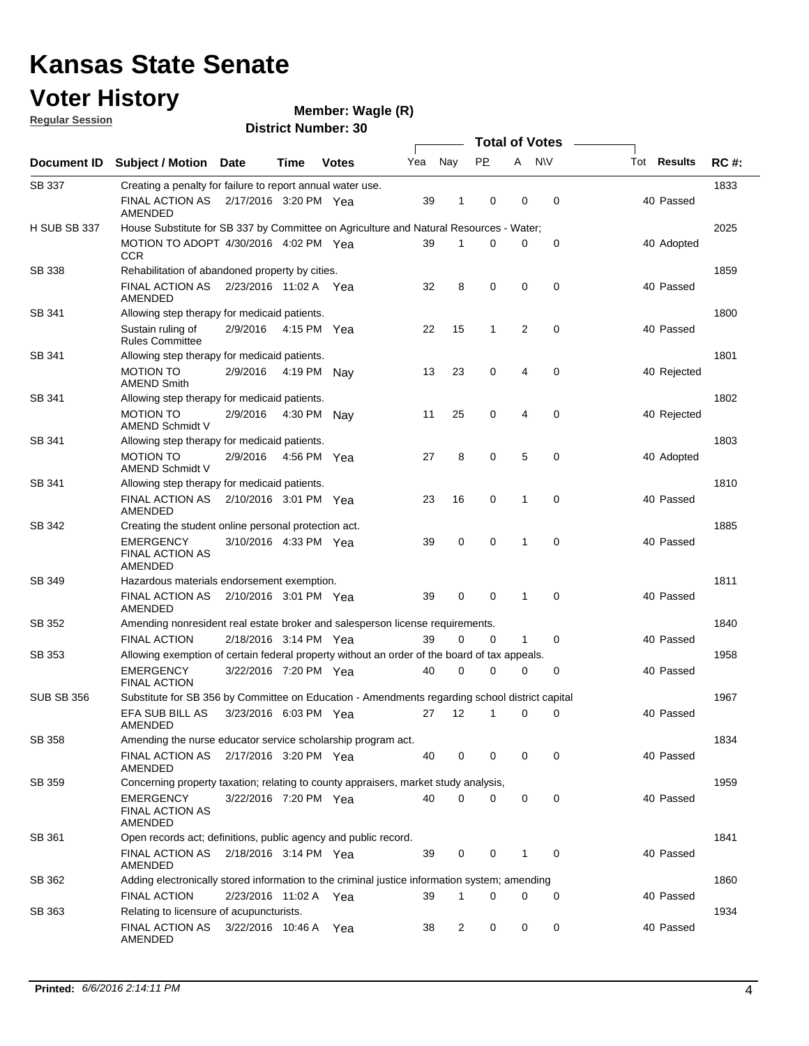## **Voter History**

**Wagle (R)**

**Regular Session**

|                   |                                                                                                |                       |             |              |     |             |              |   | <b>Total of Votes</b> |                    |             |
|-------------------|------------------------------------------------------------------------------------------------|-----------------------|-------------|--------------|-----|-------------|--------------|---|-----------------------|--------------------|-------------|
| Document ID       | <b>Subject / Motion</b>                                                                        | Date                  | Time        | <b>Votes</b> | Yea | Nay         | <b>PP</b>    | A | <b>NV</b>             | Tot <b>Results</b> | <b>RC#:</b> |
| SB 337            | Creating a penalty for failure to report annual water use.                                     |                       |             |              |     |             |              |   |                       |                    | 1833        |
|                   | <b>FINAL ACTION AS</b><br>AMENDED                                                              | 2/17/2016 3:20 PM Yea |             |              | 39  | 1           | 0            | 0 | 0                     | 40 Passed          |             |
| H SUB SB 337      | House Substitute for SB 337 by Committee on Agriculture and Natural Resources - Water;         |                       |             |              |     |             |              |   |                       |                    | 2025        |
|                   | MOTION TO ADOPT 4/30/2016 4:02 PM Yea<br><b>CCR</b>                                            |                       |             |              | 39  | 1           | 0            | 0 | 0                     | 40 Adopted         |             |
| <b>SB 338</b>     | Rehabilitation of abandoned property by cities.                                                |                       |             |              |     |             |              |   |                       |                    | 1859        |
|                   | FINAL ACTION AS 2/23/2016 11:02 A Yea<br>AMENDED                                               |                       |             |              | 32  | 8           | 0            | 0 | $\mathbf 0$           | 40 Passed          |             |
| SB 341            | Allowing step therapy for medicaid patients.                                                   |                       |             |              |     |             |              |   |                       |                    | 1800        |
|                   | Sustain ruling of<br><b>Rules Committee</b>                                                    | 2/9/2016              | 4:15 PM Yea |              | 22  | 15          | $\mathbf{1}$ | 2 | $\mathbf 0$           | 40 Passed          |             |
| SB 341            | Allowing step therapy for medicaid patients.                                                   |                       |             |              |     |             |              |   |                       |                    | 1801        |
|                   | <b>MOTION TO</b><br><b>AMEND Smith</b>                                                         | 2/9/2016              | 4:19 PM     | Nav          | 13  | 23          | 0            | 4 | $\mathbf 0$           | 40 Rejected        |             |
| SB 341            | Allowing step therapy for medicaid patients.                                                   |                       |             |              |     |             |              |   |                       |                    | 1802        |
|                   | <b>MOTION TO</b><br>AMEND Schmidt V                                                            | 2/9/2016              | 4:30 PM     | Nav          | 11  | 25          | 0            | 4 | $\mathbf 0$           | 40 Rejected        |             |
| SB 341            | Allowing step therapy for medicaid patients.                                                   |                       |             |              |     |             |              |   |                       |                    | 1803        |
|                   | <b>MOTION TO</b><br><b>AMEND Schmidt V</b>                                                     | 2/9/2016              |             | 4:56 PM Yea  | 27  | 8           | 0            | 5 | $\mathbf 0$           | 40 Adopted         |             |
| SB 341            | Allowing step therapy for medicaid patients.                                                   |                       |             |              |     |             |              |   |                       |                    | 1810        |
|                   | <b>FINAL ACTION AS</b><br>AMENDED                                                              | 2/10/2016 3:01 PM Yea |             |              | 23  | 16          | 0            | 1 | $\mathbf 0$           | 40 Passed          |             |
| SB 342            | Creating the student online personal protection act.                                           |                       |             |              |     |             |              |   |                       |                    | 1885        |
|                   | <b>EMERGENCY</b><br><b>FINAL ACTION AS</b><br>AMENDED                                          | 3/10/2016 4:33 PM Yea |             |              | 39  | $\mathbf 0$ | 0            | 1 | $\mathbf 0$           | 40 Passed          |             |
| SB 349            | Hazardous materials endorsement exemption.                                                     |                       |             |              |     |             |              |   |                       |                    | 1811        |
|                   | <b>FINAL ACTION AS</b><br>AMENDED                                                              | 2/10/2016 3:01 PM Yea |             |              | 39  | 0           | 0            | 1 | $\mathbf 0$           | 40 Passed          |             |
| SB 352            | Amending nonresident real estate broker and salesperson license requirements.                  |                       |             |              |     |             |              |   |                       |                    | 1840        |
|                   | <b>FINAL ACTION</b>                                                                            | 2/18/2016 3:14 PM Yea |             |              | 39  | $\mathbf 0$ | 0            | 1 | $\mathbf 0$           | 40 Passed          |             |
| SB 353            | Allowing exemption of certain federal property without an order of the board of tax appeals.   |                       |             |              |     |             |              |   |                       |                    | 1958        |
|                   | <b>EMERGENCY</b><br><b>FINAL ACTION</b>                                                        | 3/22/2016 7:20 PM Yea |             |              | 40  | $\mathbf 0$ | 0            | 0 | 0                     | 40 Passed          |             |
| <b>SUB SB 356</b> | Substitute for SB 356 by Committee on Education - Amendments regarding school district capital |                       |             |              |     |             |              |   |                       |                    | 1967        |
|                   | EFA SUB BILL AS<br>AMENDED                                                                     | 3/23/2016 6:03 PM Yea |             |              | 27  | 12          | 1            | 0 | 0                     | 40 Passed          |             |
| SB 358            | Amending the nurse educator service scholarship program act.                                   |                       |             |              |     |             |              |   |                       |                    | 1834        |
|                   | <b>FINAL ACTION AS</b><br>AMENDED                                                              | 2/17/2016 3:20 PM Yea |             |              | 40  | 0           | 0            | 0 | 0                     | 40 Passed          |             |
| <b>SB 359</b>     | Concerning property taxation; relating to county appraisers, market study analysis,            |                       |             |              |     |             |              |   |                       |                    | 1959        |
|                   | <b>EMERGENCY</b><br>FINAL ACTION AS<br>AMENDED                                                 | 3/22/2016 7:20 PM Yea |             |              | 40  | $\mathbf 0$ | 0            | 0 | 0                     | 40 Passed          |             |
| SB 361            | Open records act; definitions, public agency and public record.                                |                       |             |              |     |             |              |   |                       |                    | 1841        |
|                   | FINAL ACTION AS<br><b>AMENDED</b>                                                              | 2/18/2016 3:14 PM Yea |             |              | 39  | 0           | 0            | 1 | 0                     | 40 Passed          |             |
| SB 362            | Adding electronically stored information to the criminal justice information system; amending  |                       |             |              |     |             |              |   |                       |                    | 1860        |
|                   | <b>FINAL ACTION</b>                                                                            | 2/23/2016 11:02 A Yea |             |              | 39  | 1           | 0            | 0 | 0                     | 40 Passed          |             |
| SB 363            | Relating to licensure of acupuncturists.                                                       |                       |             |              |     |             |              |   |                       |                    | 1934        |
|                   | FINAL ACTION AS<br>AMENDED                                                                     | 3/22/2016 10:46 A Yea |             |              | 38  | 2           | 0            | 0 | 0                     | 40 Passed          |             |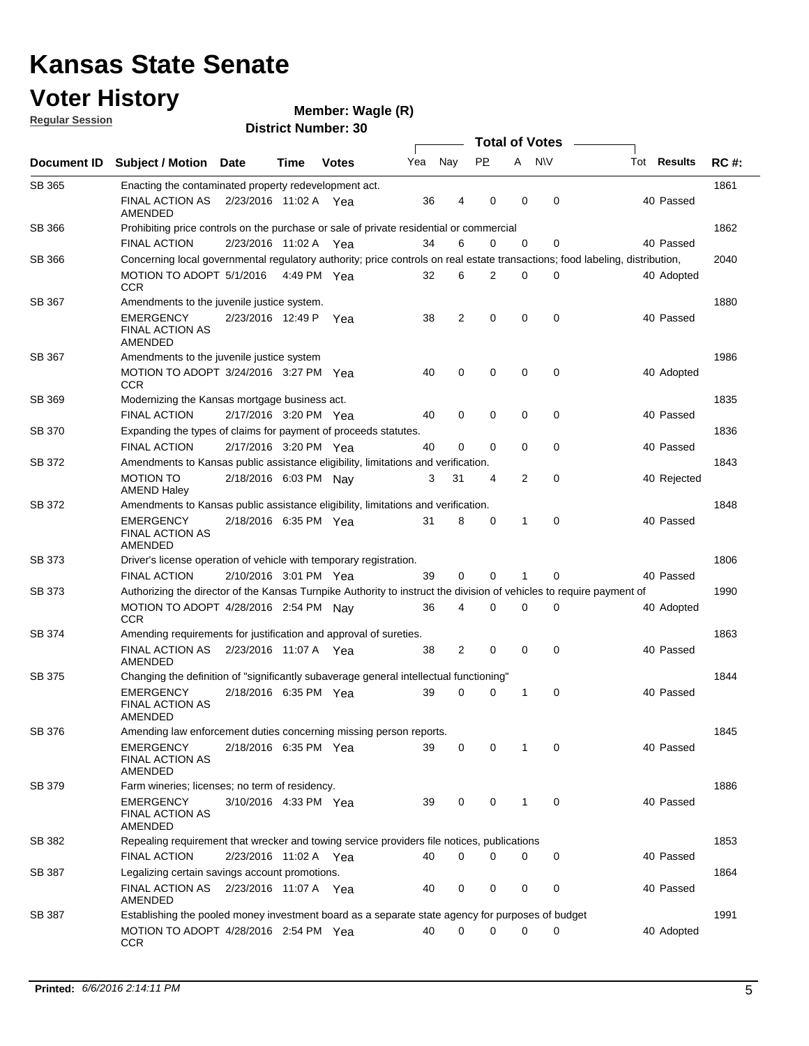| <b>Voter History</b><br><b>Regular Session</b> |                                                                                                                              |                       |             | Member: Wagle (R)<br><b>District Number: 30</b> |     |             |             |                       |             |             |             |
|------------------------------------------------|------------------------------------------------------------------------------------------------------------------------------|-----------------------|-------------|-------------------------------------------------|-----|-------------|-------------|-----------------------|-------------|-------------|-------------|
|                                                |                                                                                                                              |                       |             |                                                 |     |             |             | <b>Total of Votes</b> |             |             |             |
| Document ID                                    | <b>Subject / Motion Date</b>                                                                                                 |                       | Time        | <b>Votes</b>                                    | Yea | Nay         | <b>PP</b>   | A                     | <b>NV</b>   | Tot Results | <b>RC#:</b> |
| SB 365                                         | Enacting the contaminated property redevelopment act.                                                                        |                       |             |                                                 |     |             |             |                       |             |             | 1861        |
|                                                | FINAL ACTION AS<br>AMENDED                                                                                                   | 2/23/2016 11:02 A Yea |             |                                                 | 36  | 4           | 0           | 0                     | $\mathbf 0$ | 40 Passed   |             |
| <b>SB 366</b>                                  | Prohibiting price controls on the purchase or sale of private residential or commercial                                      |                       |             |                                                 |     |             |             |                       |             |             | 1862        |
|                                                | <b>FINAL ACTION</b>                                                                                                          | 2/23/2016 11:02 A Yea |             |                                                 | 34  | 6           | 0           | $\mathbf 0$           | 0           | 40 Passed   |             |
| SB 366                                         | Concerning local governmental regulatory authority; price controls on real estate transactions; food labeling, distribution, |                       |             |                                                 |     |             |             |                       |             |             | 2040        |
|                                                | MOTION TO ADOPT 5/1/2016<br><b>CCR</b>                                                                                       |                       | 4:49 PM Yea |                                                 | 32  | 6           | 2           | $\mathbf 0$           | 0           | 40 Adopted  |             |
| SB 367                                         | Amendments to the juvenile justice system.                                                                                   |                       |             |                                                 |     |             |             |                       |             |             | 1880        |
|                                                | <b>EMERGENCY</b><br><b>FINAL ACTION AS</b><br>AMENDED                                                                        | 2/23/2016 12:49 P     |             | Yea                                             | 38  | 2           | $\mathbf 0$ | 0                     | $\mathbf 0$ | 40 Passed   |             |
| SB 367                                         | Amendments to the juvenile justice system                                                                                    |                       |             |                                                 |     |             |             |                       |             |             | 1986        |
|                                                | MOTION TO ADOPT 3/24/2016 3:27 PM Yea<br><b>CCR</b>                                                                          |                       |             |                                                 | 40  | $\mathbf 0$ | 0           | 0                     | $\mathbf 0$ | 40 Adopted  |             |
| SB 369                                         | Modernizing the Kansas mortgage business act.                                                                                |                       |             |                                                 |     |             |             |                       |             |             | 1835        |
|                                                | <b>FINAL ACTION</b>                                                                                                          | 2/17/2016 3:20 PM Yea |             |                                                 | 40  | 0           | 0           | 0                     | $\mathbf 0$ | 40 Passed   |             |
| SB 370                                         | Expanding the types of claims for payment of proceeds statutes.                                                              |                       |             |                                                 |     |             |             |                       |             |             | 1836        |
|                                                | <b>FINAL ACTION</b>                                                                                                          | 2/17/2016 3:20 PM Yea |             |                                                 | 40  | 0           | 0           | $\Omega$              | 0           | 40 Passed   |             |
| SB 372                                         | Amendments to Kansas public assistance eligibility, limitations and verification.                                            |                       |             |                                                 |     |             |             |                       |             |             | 1843        |
|                                                | <b>MOTION TO</b><br><b>AMEND Haley</b>                                                                                       | 2/18/2016 6:03 PM Nay |             |                                                 | 3   | 31          | 4           | 2                     | $\mathbf 0$ | 40 Rejected |             |
| SB 372                                         | Amendments to Kansas public assistance eligibility, limitations and verification.                                            |                       |             |                                                 |     |             |             |                       |             |             | 1848        |
|                                                | <b>EMERGENCY</b><br>FINAL ACTION AS<br>AMENDED                                                                               | 2/18/2016 6:35 PM Yea |             |                                                 | 31  | 8           | $\mathbf 0$ | $\mathbf{1}$          | $\mathbf 0$ | 40 Passed   |             |
| SB 373                                         | Driver's license operation of vehicle with temporary registration.                                                           |                       |             |                                                 |     |             |             |                       |             |             | 1806        |
|                                                | <b>FINAL ACTION</b>                                                                                                          | 2/10/2016 3:01 PM Yea |             |                                                 | 39  | 0           | 0           |                       | 0           | 40 Passed   |             |
| SB 373                                         | Authorizing the director of the Kansas Turnpike Authority to instruct the division of vehicles to require payment of         |                       |             |                                                 |     |             |             |                       |             |             | 1990        |
|                                                | MOTION TO ADOPT 4/28/2016 2:54 PM Nay<br>CCR                                                                                 |                       |             |                                                 | 36  | 4           | 0           | 0                     | 0           | 40 Adopted  |             |
| SB 374                                         | Amending requirements for justification and approval of sureties.                                                            |                       |             |                                                 |     |             |             |                       |             |             | 1863        |
|                                                | FINAL ACTION AS<br>AMENDED                                                                                                   | 2/23/2016 11:07 A Yea |             |                                                 | 38  | 2           | 0           | 0                     | $\mathbf 0$ | 40 Passed   |             |
| SB 375                                         | Changing the definition of "significantly subaverage general intellectual functioning"                                       |                       |             |                                                 |     |             |             |                       |             |             | 1844        |
|                                                | <b>EMERGENCY</b><br>FINAL ACTION AS<br>AMENDED                                                                               | 2/18/2016 6:35 PM Yea |             |                                                 | 39  | 0           | 0           | $\mathbf{1}$          | 0           | 40 Passed   |             |
| <b>SB 376</b>                                  | Amending law enforcement duties concerning missing person reports.                                                           |                       |             |                                                 |     |             |             |                       |             |             | 1845        |
|                                                | <b>EMERGENCY</b><br><b>FINAL ACTION AS</b><br>AMENDED                                                                        | 2/18/2016 6:35 PM Yea |             |                                                 | 39  | 0           | 0           | $\mathbf{1}$          | 0           | 40 Passed   |             |
| SB 379                                         | Farm wineries; licenses; no term of residency.                                                                               |                       |             |                                                 |     |             |             |                       |             |             | 1886        |

3/10/2016 EMERGENCY Yea 40 4:33 PM 39 0 0 0 1 Passed

2/23/2016 FINAL ACTION Yea 40 11:02 A 40 0 0 0 0 Passed

FINAL ACTION AS 2/23/2016 11:07 A Yea 40 0 0 0 40 Passed

4/28/2016 MOTION TO ADOPT Yea 40 2:54 PM 40 0 0 0 0 Adopted

Repealing requirement that wrecker and towing service providers file notices, publications

Establishing the pooled money investment board as a separate state agency for purposes of budget

SB 382

SB 387

SB 387

FINAL ACTION AS AMENDED

Legalizing certain savings account promotions.

AMENDED

**CCR** 

1853

1864

1991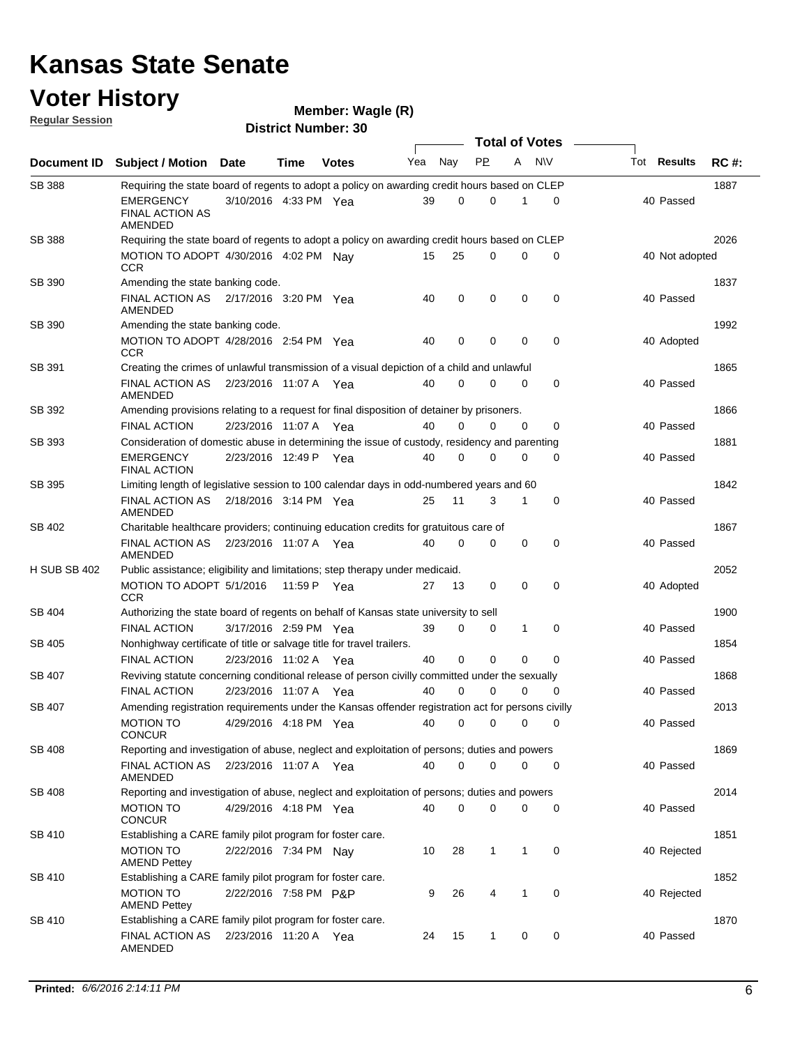## **Voter History**

**Regular Session**

| <u>noquial oceanull</u> |                                                                                                   |                        |             | <b>District Number: 30</b> |     |          |             |              |                       |                    |             |
|-------------------------|---------------------------------------------------------------------------------------------------|------------------------|-------------|----------------------------|-----|----------|-------------|--------------|-----------------------|--------------------|-------------|
|                         |                                                                                                   |                        |             |                            |     |          |             |              | <b>Total of Votes</b> |                    |             |
| <b>Document ID</b>      | <b>Subject / Motion</b>                                                                           | <b>Date</b>            | <b>Time</b> | <b>Votes</b>               | Yea | Nay      | <b>PP</b>   | A            | N\V                   | Tot <b>Results</b> | <b>RC#:</b> |
| <b>SB 388</b>           | Requiring the state board of regents to adopt a policy on awarding credit hours based on CLEP     |                        |             |                            |     |          |             |              |                       |                    | 1887        |
|                         | EMERGENCY<br><b>FINAL ACTION AS</b><br>AMENDED                                                    | 3/10/2016 4:33 PM Yea  |             |                            | 39  | 0        | $\mathbf 0$ | 1            | 0                     | 40 Passed          |             |
| <b>SB 388</b>           | Requiring the state board of regents to adopt a policy on awarding credit hours based on CLEP     |                        |             |                            |     |          |             |              |                       |                    | 2026        |
|                         | MOTION TO ADOPT 4/30/2016 4:02 PM Nay<br><b>CCR</b>                                               |                        |             |                            | 15  | 25       | 0           | 0            | 0                     | 40 Not adopted     |             |
| SB 390                  | Amending the state banking code.                                                                  |                        |             |                            |     |          |             |              |                       |                    | 1837        |
|                         | FINAL ACTION AS  2/17/2016  3:20 PM  Yea<br>AMENDED                                               |                        |             |                            | 40  | 0        | 0           | 0            | $\mathbf 0$           | 40 Passed          |             |
| SB 390                  | Amending the state banking code.                                                                  |                        |             |                            |     |          |             |              |                       |                    | 1992        |
|                         | MOTION TO ADOPT 4/28/2016 2:54 PM Yea<br><b>CCR</b>                                               |                        |             |                            | 40  | 0        | 0           | 0            | 0                     | 40 Adopted         |             |
| SB 391                  | Creating the crimes of unlawful transmission of a visual depiction of a child and unlawful        |                        |             |                            |     |          |             |              |                       |                    | 1865        |
|                         | <b>FINAL ACTION AS</b><br><b>AMENDED</b>                                                          | 2/23/2016 11:07 A  Yea |             |                            | 40  | $\Omega$ | $\Omega$    | $\Omega$     | 0                     | 40 Passed          |             |
| SB 392                  | Amending provisions relating to a request for final disposition of detainer by prisoners.         |                        |             |                            |     |          |             |              |                       |                    | 1866        |
|                         | <b>FINAL ACTION</b>                                                                               | 2/23/2016 11:07 A      |             | Yea                        | 40  | 0        | 0           | 0            | 0                     | 40 Passed          |             |
| SB 393                  | Consideration of domestic abuse in determining the issue of custody, residency and parenting      |                        |             |                            |     |          |             |              |                       |                    | 1881        |
|                         | <b>EMERGENCY</b><br><b>FINAL ACTION</b>                                                           | 2/23/2016 12:49 P Yea  |             |                            | 40  | 0        | 0           | 0            | 0                     | 40 Passed          |             |
| SB 395                  | Limiting length of legislative session to 100 calendar days in odd-numbered years and 60          |                        |             |                            |     |          |             |              |                       |                    | 1842        |
|                         | FINAL ACTION AS<br>AMENDED                                                                        | 2/18/2016 3:14 PM Yea  |             |                            | 25  | 11       | 3           | $\mathbf{1}$ | $\mathbf 0$           | 40 Passed          |             |
| SB 402                  | Charitable healthcare providers; continuing education credits for gratuitous care of              |                        |             |                            |     |          |             |              |                       |                    | 1867        |
|                         | FINAL ACTION AS  2/23/2016  11:07 A  Yea<br>AMENDED                                               |                        |             |                            | 40  | $\Omega$ | 0           | 0            | 0                     | 40 Passed          |             |
| <b>H SUB SB 402</b>     | Public assistance; eligibility and limitations; step therapy under medicaid.                      |                        |             |                            |     |          |             |              |                       |                    | 2052        |
|                         | MOTION TO ADOPT 5/1/2016<br><b>CCR</b>                                                            |                        |             | 11:59 P Yea                | 27  | 13       | 0           | $\mathbf 0$  | 0                     | 40 Adopted         |             |
| SB 404                  | Authorizing the state board of regents on behalf of Kansas state university to sell               |                        |             |                            |     |          |             |              |                       |                    | 1900        |
|                         | <b>FINAL ACTION</b>                                                                               | 3/17/2016 2:59 PM Yea  |             |                            | 39  | 0        | 0           | $\mathbf{1}$ | $\mathbf 0$           | 40 Passed          |             |
| SB 405                  | Nonhighway certificate of title or salvage title for travel trailers.                             |                        |             |                            |     |          |             |              |                       |                    | 1854        |
|                         | <b>FINAL ACTION</b>                                                                               | 2/23/2016 11:02 A Yea  |             |                            | 40  | 0        | 0           | $\Omega$     | 0                     | 40 Passed          |             |
| SB 407                  | Reviving statute concerning conditional release of person civilly committed under the sexually    |                        |             |                            |     |          |             |              |                       |                    | 1868        |
|                         | <b>FINAL ACTION</b>                                                                               | 2/23/2016 11:07 A Yea  |             |                            | 40  | $\Omega$ | 0           | 0            | $\mathbf 0$           | 40 Passed          |             |
| SB 407                  | Amending registration requirements under the Kansas offender registration act for persons civilly |                        |             |                            |     |          |             |              |                       |                    | 2013        |
|                         | <b>MOTION TO</b><br><b>CONCUR</b>                                                                 | 4/29/2016 4:18 PM Yea  |             |                            | 40  | 0        | 0           | 0            | 0                     | 40 Passed          |             |
| SB 408                  | Reporting and investigation of abuse, neglect and exploitation of persons; duties and powers      |                        |             |                            |     |          |             |              |                       |                    | 1869        |
|                         | FINAL ACTION AS<br>AMENDED                                                                        | 2/23/2016 11:07 A Yea  |             |                            | 40  | 0        | 0           | 0            | 0                     | 40 Passed          |             |
| SB 408                  | Reporting and investigation of abuse, neglect and exploitation of persons; duties and powers      |                        |             |                            |     |          |             |              |                       |                    | 2014        |
|                         | <b>MOTION TO</b><br><b>CONCUR</b>                                                                 | 4/29/2016 4:18 PM Yea  |             |                            | 40  | 0        | 0           | 0            | 0                     | 40 Passed          |             |
| SB 410                  | Establishing a CARE family pilot program for foster care.                                         |                        |             |                            |     |          |             |              |                       |                    | 1851        |
|                         | <b>MOTION TO</b><br><b>AMEND Pettey</b>                                                           | 2/22/2016 7:34 PM Nav  |             |                            | 10  | 28       | 1           | $\mathbf{1}$ | 0                     | 40 Rejected        |             |
| SB 410                  | Establishing a CARE family pilot program for foster care.                                         |                        |             |                            |     |          |             |              |                       |                    | 1852        |
|                         | <b>MOTION TO</b><br><b>AMEND Pettey</b>                                                           | 2/22/2016 7:58 PM P&P  |             |                            | 9   | 26       | 4           | $\mathbf{1}$ | 0                     | 40 Rejected        |             |
| SB 410                  | Establishing a CARE family pilot program for foster care.                                         |                        |             |                            |     |          |             |              |                       |                    | 1870        |
|                         | <b>FINAL ACTION AS</b><br>AMENDED                                                                 | 2/23/2016 11:20 A Yea  |             |                            | 24  | 15       | 1           | 0            | 0                     | 40 Passed          |             |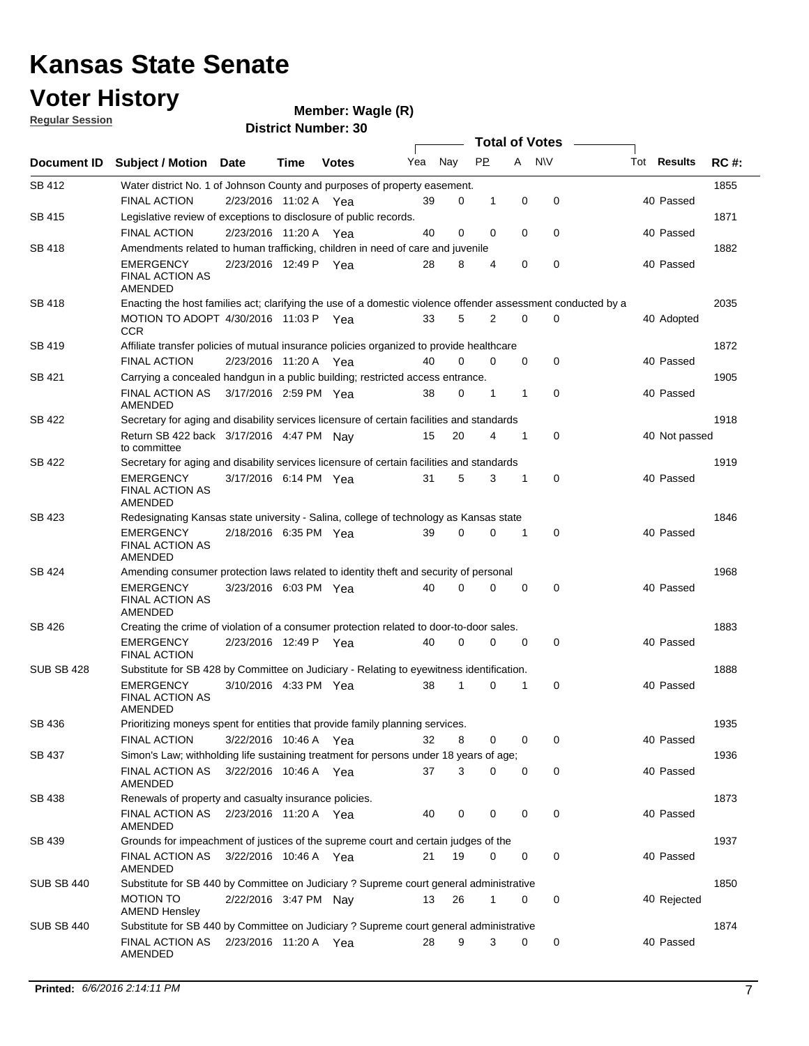### **Voter History**

**Regular Session**

**Wagle (R)**

**Document ID** Subject / Motion Date Time Votes Yea Nay PP A NIV Tot Results RC #: **District Number: 30 Date Votes Total of Votes Tot Results** Nav 1855 2/23/2016 FINAL ACTION Yea 40 11:02 A 39 0 0 1 0 Passed SB 412 Water district No. 1 of Johnson County and purposes of property easement. 1871 2/23/2016 FINAL ACTION Yea 40 11:20 A 40 0 0 0 0 Passed SB 415 Legislative review of exceptions to disclosure of public records. 1882 2/23/2016 EMERGENCY Yea 40 SB 418 FINAL ACTION AS AMENDED Amendments related to human trafficking, children in need of care and juvenile Yea 28 8 4 0 0 40 Passed 2035 MOTION TO ADOPT 4/30/2016 11:03 P Yea  $33 \quad 5 \quad 2 \quad 0 \quad 0$  40 Adopted SB 418 **CCR** Enacting the host families act; clarifying the use of a domestic violence offender assessment conducted by a 1872 2/23/2016 FINAL ACTION Yea 40 11:20 A 40 0 0 0 0 Passed SB 419 Affiliate transfer policies of mutual insurance policies organized to provide healthcare 1905 FINAL ACTION AS 3/17/2016 2:59 PM Yea  $\begin{array}{cccccc} 38 & 0 & 1 & 1 & 0 \end{array}$  40 Passed SB 421 AMENDED Carrying a concealed handgun in a public building; restricted access entrance. 1918 Return SB 422 back 3/17/2016 4:47 PM Nay 15 20 4 1 0 40 Not passed SB 422 to committee Secretary for aging and disability services licensure of certain facilities and standards 1919 EMERGENCY 3/17/2016 6:14 PM Yea 31 5 3 1 0 40 Passed SB 422 FINAL ACTION AS AMENDED Secretary for aging and disability services licensure of certain facilities and standards 1846 2/18/2016 EMERGENCY Yea 40 6:35 PM 39 0 0 0 1 Passed SB 423 FINAL ACTION AS AMENDED Redesignating Kansas state university - Salina, college of technology as Kansas state 1968 3/23/2016 EMERGENCY Yea 40 6:03 PM 40 0 0 0 0 Passed SB 424 FINAL ACTION AS AMENDED Amending consumer protection laws related to identity theft and security of personal 1883 2/23/2016 EMERGENCY Yea 40 12:49 P 40 0 0 0 0 Passed SB 426 FINAL ACTION Creating the crime of violation of a consumer protection related to door-to-door sales. 1888 3/10/2016 EMERGENCY Yea 40 4:33 PM 38 1 0 0 1 Passed SUB SB 428 FINAL ACTION AS AMENDED Substitute for SB 428 by Committee on Judiciary - Relating to eyewitness identification. 1935 3/22/2016 FINAL ACTION Yea 40 10:46 A 32 8 0 0 0 Passed SB 436 Prioritizing moneys spent for entities that provide family planning services. 1936 3/22/2016 FINAL ACTION AS Yea 40 10:46 A 37 3 0 0 0 Passed SB 437 AMENDED Simon's Law; withholding life sustaining treatment for persons under 18 years of age; 1873 FINAL ACTION AS 2/23/2016 11:20 A Yea 40 0 0 0 40 Passed SB 438 AMENDED Renewals of property and casualty insurance policies. 1937 3/22/2016 FINAL ACTION AS Yea 40 10:46 A 21 19 0 0 0 Passed SB 439 AMENDED Grounds for impeachment of justices of the supreme court and certain judges of the 1850 MOTION TO 2/22/2016 3:47 PM Nay 13 26 1 0 0 40 Rejected SUB SB 440 AMEND Hensley Substitute for SB 440 by Committee on Judiciary ? Supreme court general administrative 1874 FINAL ACTION AS 2/23/2016 11:20 A Yea 28 9 3 0 0 40 Passed SUB SB 440 AMENDED Substitute for SB 440 by Committee on Judiciary ? Supreme court general administrative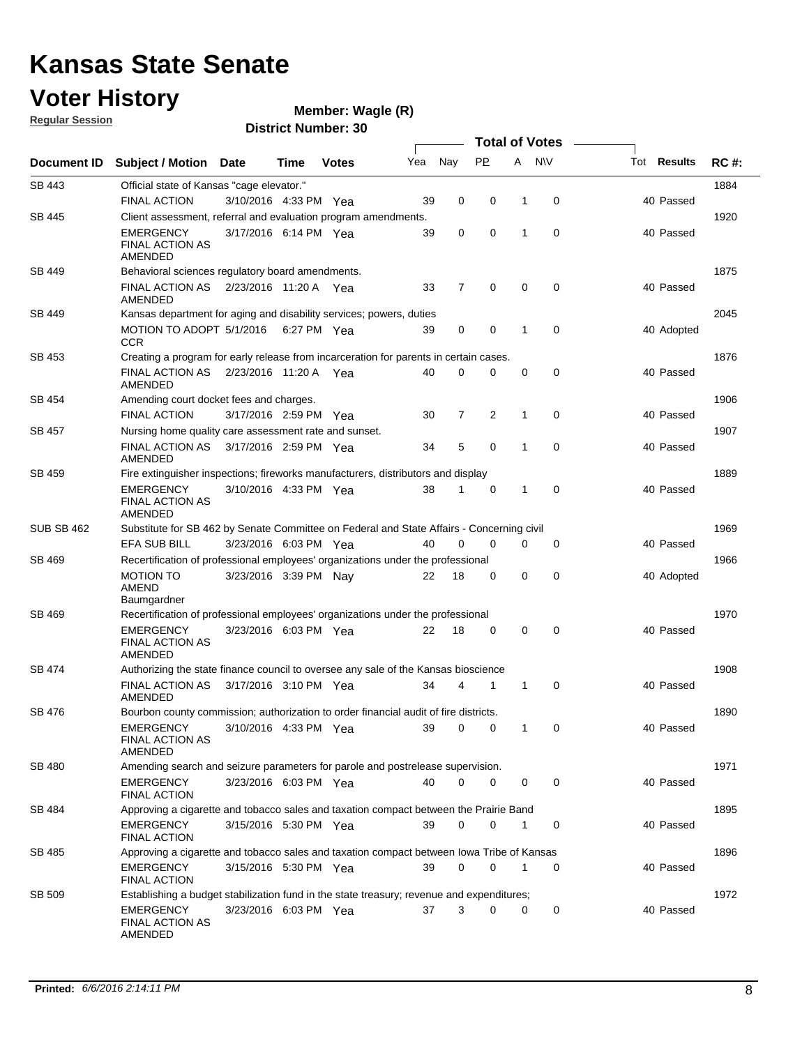### **Voter History Regular Session**

**Wagle (R)**

|                   |                                                                                           |                       |      |              |     |                |              |             | <b>Total of Votes</b> |                    |             |
|-------------------|-------------------------------------------------------------------------------------------|-----------------------|------|--------------|-----|----------------|--------------|-------------|-----------------------|--------------------|-------------|
| Document ID       | <b>Subject / Motion Date</b>                                                              |                       | Time | <b>Votes</b> | Yea | Nay            | <b>PP</b>    | A           | <b>N\V</b>            | Tot <b>Results</b> | <b>RC#:</b> |
| SB 443            | Official state of Kansas "cage elevator."                                                 |                       |      |              |     |                |              |             |                       |                    | 1884        |
|                   | <b>FINAL ACTION</b>                                                                       | 3/10/2016 4:33 PM Yea |      |              | 39  | 0              | 0            | 1           | 0                     | 40 Passed          |             |
| <b>SB 445</b>     | Client assessment, referral and evaluation program amendments.                            |                       |      |              |     |                |              |             |                       |                    | 1920        |
|                   | <b>EMERGENCY</b><br><b>FINAL ACTION AS</b><br>AMENDED                                     | 3/17/2016 6:14 PM Yea |      |              | 39  | 0              | $\mathbf 0$  | 1           | $\mathbf 0$           | 40 Passed          |             |
| SB 449            | Behavioral sciences regulatory board amendments.                                          |                       |      |              |     |                |              |             |                       |                    | 1875        |
|                   | <b>FINAL ACTION AS</b><br>AMENDED                                                         | 2/23/2016 11:20 A Yea |      |              | 33  | $\overline{7}$ | 0            | $\mathbf 0$ | $\mathbf 0$           | 40 Passed          |             |
| SB 449            | Kansas department for aging and disability services; powers, duties                       |                       |      |              |     |                |              |             |                       |                    | 2045        |
|                   | MOTION TO ADOPT 5/1/2016 6:27 PM Yea<br><b>CCR</b>                                        |                       |      |              | 39  | $\mathbf 0$    | $\mathbf 0$  | 1           | $\mathbf 0$           | 40 Adopted         |             |
| SB 453            | Creating a program for early release from incarceration for parents in certain cases.     |                       |      |              |     |                |              |             |                       |                    | 1876        |
|                   | FINAL ACTION AS<br>AMENDED                                                                | 2/23/2016 11:20 A Yea |      |              | 40  | $\mathbf 0$    | 0            | $\mathbf 0$ | 0                     | 40 Passed          |             |
| SB 454            | Amending court docket fees and charges.                                                   |                       |      |              |     |                |              |             |                       |                    | 1906        |
|                   | <b>FINAL ACTION</b>                                                                       | 3/17/2016 2:59 PM Yea |      |              | 30  | 7              | 2            | 1           | $\mathbf 0$           | 40 Passed          |             |
| SB 457            | Nursing home quality care assessment rate and sunset.                                     |                       |      |              |     |                |              |             |                       |                    | 1907        |
|                   | <b>FINAL ACTION AS</b><br>AMENDED                                                         | 3/17/2016 2:59 PM Yea |      |              | 34  | 5              | 0            | 1           | $\mathbf 0$           | 40 Passed          |             |
| SB 459            | Fire extinguisher inspections; fireworks manufacturers, distributors and display          |                       |      |              |     |                |              |             |                       |                    | 1889        |
|                   | <b>EMERGENCY</b><br><b>FINAL ACTION AS</b><br>AMENDED                                     | 3/10/2016 4:33 PM Yea |      |              | 38  | 1              | 0            | 1           | $\mathbf 0$           | 40 Passed          |             |
| <b>SUB SB 462</b> | Substitute for SB 462 by Senate Committee on Federal and State Affairs - Concerning civil |                       |      |              |     |                |              |             |                       |                    | 1969        |
|                   | EFA SUB BILL                                                                              | 3/23/2016 6:03 PM Yea |      |              | 40  | 0              | 0            | 0           | 0                     | 40 Passed          |             |
| SB 469            | Recertification of professional employees' organizations under the professional           |                       |      |              |     |                |              |             |                       |                    | 1966        |
|                   | <b>MOTION TO</b><br>AMEND<br>Baumgardner                                                  | 3/23/2016 3:39 PM Nav |      |              | 22  | 18             | 0            | 0           | $\mathbf 0$           | 40 Adopted         |             |
| SB 469            | Recertification of professional employees' organizations under the professional           |                       |      |              |     |                |              |             |                       |                    | 1970        |
|                   | <b>EMERGENCY</b><br><b>FINAL ACTION AS</b><br>AMENDED                                     | 3/23/2016 6:03 PM Yea |      |              | 22  | 18             | 0            | 0           | 0                     | 40 Passed          |             |
| SB 474            | Authorizing the state finance council to oversee any sale of the Kansas bioscience        |                       |      |              |     |                |              |             |                       |                    | 1908        |
|                   | <b>FINAL ACTION AS</b><br>AMENDED                                                         | 3/17/2016 3:10 PM Yea |      |              | 34  | 4              | 1            | 1           | 0                     | 40 Passed          |             |
| SB 476            | Bourbon county commission; authorization to order financial audit of fire districts.      |                       |      |              |     |                |              |             |                       |                    | 1890        |
|                   | <b>EMERGENCY</b><br><b>FINAL ACTION AS</b><br>AMENDED                                     | 3/10/2016 4:33 PM Yea |      |              | 39  | $\mathbf{0}$   | $\mathbf{0}$ |             |                       | 40 Passed          |             |
| <b>SB 480</b>     | Amending search and seizure parameters for parole and postrelease supervision.            |                       |      |              |     |                |              |             |                       |                    | 1971        |
|                   | <b>EMERGENCY</b><br><b>FINAL ACTION</b>                                                   | 3/23/2016 6:03 PM Yea |      |              | 40  | 0              | 0            | 0           | $\mathbf 0$           | 40 Passed          |             |
| SB 484            | Approving a cigarette and tobacco sales and taxation compact between the Prairie Band     |                       |      |              |     |                |              |             |                       |                    | 1895        |
|                   | <b>EMERGENCY</b><br><b>FINAL ACTION</b>                                                   | 3/15/2016 5:30 PM Yea |      |              | 39  | 0              | 0            | 1           | 0                     | 40 Passed          |             |
| SB 485            | Approving a cigarette and tobacco sales and taxation compact between lowa Tribe of Kansas |                       |      |              |     |                |              |             |                       |                    | 1896        |
|                   | EMERGENCY<br><b>FINAL ACTION</b>                                                          | 3/15/2016 5:30 PM Yea |      |              | 39  | 0              | 0            | 1           | 0                     | 40 Passed          |             |
| SB 509            | Establishing a budget stabilization fund in the state treasury; revenue and expenditures; |                       |      |              |     |                |              |             |                       |                    | 1972        |
|                   | <b>EMERGENCY</b><br><b>FINAL ACTION AS</b><br>AMENDED                                     | 3/23/2016 6:03 PM Yea |      |              | 37  | 3              | 0            | 0           | 0                     | 40 Passed          |             |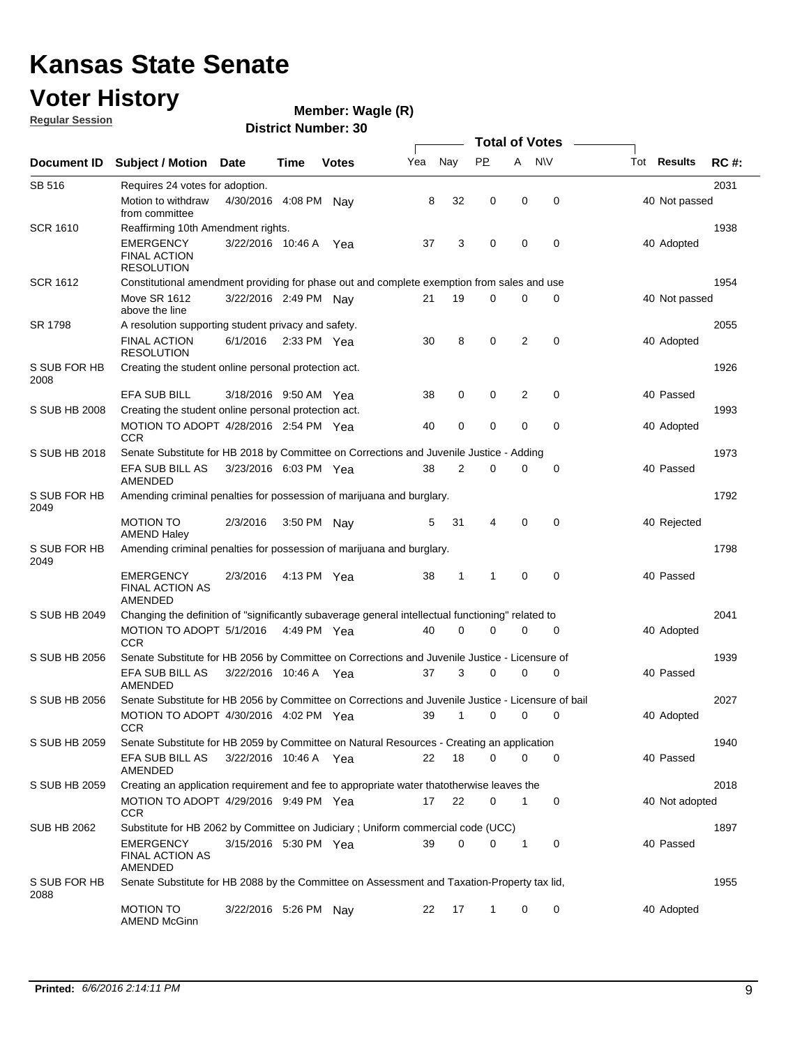## **Voter History**

**Regular Session**

**Wagle (R)**

|                      |                                                                                                    |                       |               |              |     |             |              |                | <b>Total of Votes</b> |                    |             |
|----------------------|----------------------------------------------------------------------------------------------------|-----------------------|---------------|--------------|-----|-------------|--------------|----------------|-----------------------|--------------------|-------------|
| <b>Document ID</b>   | <b>Subject / Motion Date</b>                                                                       |                       | Time          | <b>Votes</b> | Yea | Nay         | <b>PP</b>    | A              | <b>NV</b>             | Tot <b>Results</b> | <b>RC#:</b> |
| <b>SB 516</b>        | Requires 24 votes for adoption.                                                                    |                       |               |              |     |             |              |                |                       |                    | 2031        |
|                      | Motion to withdraw<br>from committee                                                               | 4/30/2016 4:08 PM     |               | Nav          | 8   | 32          | 0            | 0              | 0                     | 40 Not passed      |             |
| <b>SCR 1610</b>      | Reaffirming 10th Amendment rights.                                                                 |                       |               |              |     |             |              |                |                       |                    | 1938        |
|                      | EMERGENCY<br><b>FINAL ACTION</b><br><b>RESOLUTION</b>                                              | 3/22/2016 10:46 A Yea |               |              | 37  | 3           | 0            | 0              | 0                     | 40 Adopted         |             |
| <b>SCR 1612</b>      | Constitutional amendment providing for phase out and complete exemption from sales and use         |                       |               |              |     |             |              |                |                       |                    | 1954        |
|                      | <b>Move SR 1612</b><br>above the line                                                              | 3/22/2016 2:49 PM Nav |               |              | 21  | 19          | 0            | 0              | 0                     | 40 Not passed      |             |
| SR 1798              | A resolution supporting student privacy and safety.                                                |                       |               |              |     |             |              |                |                       |                    | 2055        |
|                      | FINAL ACTION<br><b>RESOLUTION</b>                                                                  | 6/1/2016              | 2:33 PM $Yea$ |              | 30  | 8           | 0            | $\overline{2}$ | 0                     | 40 Adopted         |             |
| S SUB FOR HB<br>2008 | Creating the student online personal protection act.                                               |                       |               |              |     |             |              |                |                       |                    | 1926        |
|                      | <b>EFA SUB BILL</b>                                                                                | 3/18/2016 9:50 AM Yea |               |              | 38  | 0           | 0            | 2              | $\mathbf 0$           | 40 Passed          |             |
| S SUB HB 2008        | Creating the student online personal protection act.                                               |                       |               |              |     |             |              |                |                       |                    | 1993        |
|                      | MOTION TO ADOPT 4/28/2016 2:54 PM Yea<br><b>CCR</b>                                                |                       |               |              | 40  | 0           | $\mathbf 0$  | $\mathbf 0$    | $\mathbf 0$           | 40 Adopted         |             |
| S SUB HB 2018        | Senate Substitute for HB 2018 by Committee on Corrections and Juvenile Justice - Adding            |                       |               |              |     |             |              |                |                       |                    | 1973        |
|                      | EFA SUB BILL AS<br><b>AMENDED</b>                                                                  | 3/23/2016 6:03 PM Yea |               |              | 38  | 2           | 0            | 0              | 0                     | 40 Passed          |             |
| S SUB FOR HB<br>2049 | Amending criminal penalties for possession of marijuana and burglary.                              |                       |               |              |     |             |              |                |                       |                    | 1792        |
|                      | <b>MOTION TO</b><br><b>AMEND Haley</b>                                                             | 2/3/2016              | 3:50 PM Nay   |              | 5   | 31          | 4            | 0              | 0                     | 40 Rejected        |             |
| S SUB FOR HB<br>2049 | Amending criminal penalties for possession of marijuana and burglary.                              |                       |               |              |     |             |              |                |                       |                    | 1798        |
|                      | <b>EMERGENCY</b><br><b>FINAL ACTION AS</b><br>AMENDED                                              | 2/3/2016              | 4:13 PM Yea   |              | 38  | 1           | $\mathbf{1}$ | 0              | 0                     | 40 Passed          |             |
| S SUB HB 2049        | Changing the definition of "significantly subaverage general intellectual functioning" related to  |                       |               |              |     |             |              |                |                       |                    | 2041        |
|                      | MOTION TO ADOPT 5/1/2016<br><b>CCR</b>                                                             |                       | 4:49 PM Yea   |              | 40  | $\mathbf 0$ | 0            | 0              | 0                     | 40 Adopted         |             |
| S SUB HB 2056        | Senate Substitute for HB 2056 by Committee on Corrections and Juvenile Justice - Licensure of      |                       |               |              |     |             |              |                |                       |                    | 1939        |
|                      | EFA SUB BILL AS<br>AMENDED                                                                         | 3/22/2016 10:46 A Yea |               |              | 37  | 3           | 0            | 0              | 0                     | 40 Passed          |             |
| S SUB HB 2056        | Senate Substitute for HB 2056 by Committee on Corrections and Juvenile Justice - Licensure of bail |                       |               |              |     |             |              |                |                       |                    | 2027        |
|                      | MOTION TO ADOPT 4/30/2016 4:02 PM Yea<br><b>UCR</b>                                                |                       |               |              | 39  | 1           | 0            | 0              | 0                     | 40 Adopted         |             |
| S SUB HB 2059        | Senate Substitute for HB 2059 by Committee on Natural Resources - Creating an application          |                       |               |              |     |             |              |                |                       |                    | 1940        |
|                      | EFA SUB BILL AS<br>AMENDED                                                                         | 3/22/2016 10:46 A Yea |               |              | 22  | 18          | 0            | 0              | 0                     | 40 Passed          |             |
| S SUB HB 2059        | Creating an application requirement and fee to appropriate water thatotherwise leaves the          |                       |               |              |     |             |              |                |                       |                    | 2018        |
|                      | MOTION TO ADOPT 4/29/2016 9:49 PM Yea<br><b>CCR</b>                                                |                       |               |              | 17  | 22          | 0            | 1              | 0                     | 40 Not adopted     |             |
| <b>SUB HB 2062</b>   | Substitute for HB 2062 by Committee on Judiciary ; Uniform commercial code (UCC)                   |                       |               |              |     |             |              |                |                       |                    | 1897        |
|                      | EMERGENCY<br><b>FINAL ACTION AS</b><br>AMENDED                                                     | 3/15/2016 5:30 PM Yea |               |              | 39  | 0           | 0            | 1              | 0                     | 40 Passed          |             |
| S SUB FOR HB<br>2088 | Senate Substitute for HB 2088 by the Committee on Assessment and Taxation-Property tax lid,        |                       |               |              |     |             |              |                |                       |                    | 1955        |
|                      | <b>MOTION TO</b><br><b>AMEND McGinn</b>                                                            | 3/22/2016 5:26 PM Nay |               |              | 22  | 17          | $\mathbf{1}$ | 0              | 0                     | 40 Adopted         |             |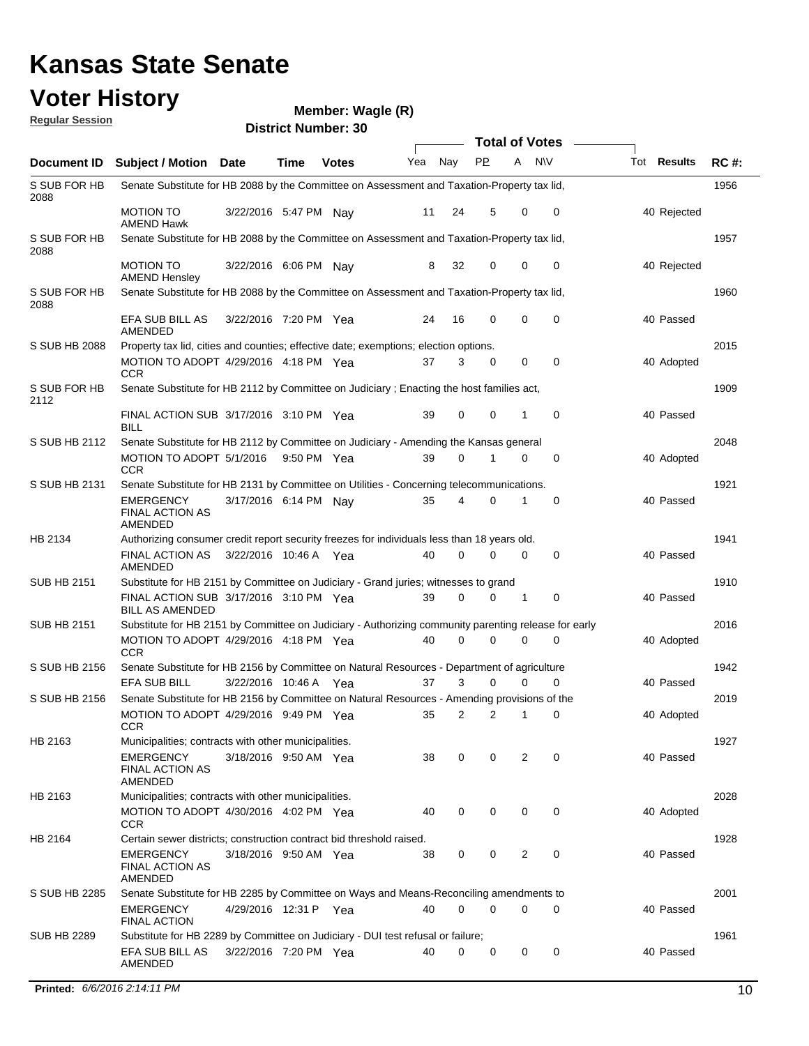## **Voter History**<br>**Regular Session**

| <b>Regular Session</b> |                                                                                                      |                       |      | <b>District Number: 30</b> |     |                |                       |   |             |             |             |
|------------------------|------------------------------------------------------------------------------------------------------|-----------------------|------|----------------------------|-----|----------------|-----------------------|---|-------------|-------------|-------------|
|                        |                                                                                                      |                       |      |                            |     |                | <b>Total of Votes</b> |   |             |             |             |
| Document ID            | Subject / Motion Date                                                                                |                       | Time | <b>Votes</b>               | Yea | Nay            | <b>PP</b>             | A | <b>NV</b>   | Tot Results | <b>RC#:</b> |
| S SUB FOR HB<br>2088   | Senate Substitute for HB 2088 by the Committee on Assessment and Taxation-Property tax lid,          |                       |      |                            |     |                |                       |   |             |             | 1956        |
|                        | MOTION TO<br><b>AMEND Hawk</b>                                                                       | 3/22/2016 5:47 PM Nay |      |                            | 11  | 24             | 5                     | 0 | 0           | 40 Rejected |             |
| S SUB FOR HB<br>2088   | Senate Substitute for HB 2088 by the Committee on Assessment and Taxation-Property tax lid,          |                       |      |                            |     |                |                       |   |             |             | 1957        |
|                        | <b>MOTION TO</b><br><b>AMEND Hensley</b>                                                             | 3/22/2016 6:06 PM Nay |      |                            | 8   | 32             | 0                     | 0 | 0           | 40 Rejected |             |
| S SUB FOR HB<br>2088   | Senate Substitute for HB 2088 by the Committee on Assessment and Taxation-Property tax lid,          |                       |      |                            |     |                |                       |   |             |             | 1960        |
|                        | EFA SUB BILL AS<br>AMENDED                                                                           | 3/22/2016 7:20 PM Yea |      |                            | 24  | 16             | $\mathbf 0$           | 0 | 0           | 40 Passed   |             |
| S SUB HB 2088          | Property tax lid, cities and counties; effective date; exemptions; election options.                 |                       |      |                            |     |                |                       |   |             |             | 2015        |
|                        | MOTION TO ADOPT 4/29/2016 4:18 PM Yea<br><b>CCR</b>                                                  |                       |      |                            | 37  | 3              | $\mathbf 0$           | 0 | $\mathbf 0$ | 40 Adopted  |             |
| S SUB FOR HB<br>2112   | Senate Substitute for HB 2112 by Committee on Judiciary; Enacting the host families act,             |                       |      |                            |     |                |                       |   |             |             | 1909        |
|                        | FINAL ACTION SUB 3/17/2016 3:10 PM Yea<br><b>BILL</b>                                                |                       |      |                            | 39  | 0              | $\mathbf 0$           | 1 | $\mathbf 0$ | 40 Passed   |             |
| S SUB HB 2112          | Senate Substitute for HB 2112 by Committee on Judiciary - Amending the Kansas general                |                       |      |                            |     | $\Omega$       |                       |   |             |             | 2048        |
|                        | MOTION TO ADOPT 5/1/2016 9:50 PM Yea<br><b>CCR</b>                                                   |                       |      |                            | 39  |                |                       | 0 | $\mathbf 0$ | 40 Adopted  |             |
| S SUB HB 2131          | Senate Substitute for HB 2131 by Committee on Utilities - Concerning telecommunications.             |                       |      |                            |     |                |                       |   |             |             | 1921        |
|                        | <b>EMERGENCY</b><br><b>FINAL ACTION AS</b><br>AMENDED                                                | 3/17/2016 6:14 PM Nay |      |                            | 35  | 4              | 0                     |   | 0           | 40 Passed   |             |
| HB 2134                | Authorizing consumer credit report security freezes for individuals less than 18 years old.          |                       |      |                            |     |                |                       |   |             |             | 1941        |
|                        | <b>FINAL ACTION AS</b><br>AMENDED                                                                    | 3/22/2016 10:46 A Yea |      |                            | 40  | $\Omega$       | 0                     | 0 | 0           | 40 Passed   |             |
| SUB HB 2151            | Substitute for HB 2151 by Committee on Judiciary - Grand juries; witnesses to grand                  |                       |      |                            |     |                |                       |   |             |             | 1910        |
|                        | FINAL ACTION SUB 3/17/2016 3:10 PM Yea<br><b>BILL AS AMENDED</b>                                     |                       |      |                            | 39  | $\Omega$       | 0                     | 1 | 0           | 40 Passed   |             |
| SUB HB 2151            | Substitute for HB 2151 by Committee on Judiciary - Authorizing community parenting release for early |                       |      |                            |     |                |                       |   |             |             | 2016        |
|                        | MOTION TO ADOPT 4/29/2016 4:18 PM Yea<br><b>CCR</b>                                                  |                       |      |                            | 40  | 0              | 0                     | 0 | 0           | 40 Adopted  |             |
| S SUB HB 2156          | Senate Substitute for HB 2156 by Committee on Natural Resources - Department of agriculture          |                       |      |                            |     |                |                       |   |             |             | 1942        |
|                        | <b>EFA SUB BILL</b>                                                                                  | 3/22/2016 10:46 A Yea |      |                            | 37  | 3              | 0                     | 0 | 0           | 40 Passed   |             |
| S SUB HB 2156          | Senate Substitute for HB 2156 by Committee on Natural Resources - Amending provisions of the         |                       |      |                            |     |                |                       |   |             |             | 2019        |
|                        | MOTION TO ADOPT 4/29/2016 9:49 PM Yea<br><b>CCR</b>                                                  |                       |      |                            | 35  | $\overline{2}$ | $\overline{c}$        | 1 | 0           | 40 Adopted  |             |
| HB 2163                | Municipalities; contracts with other municipalities.                                                 |                       |      |                            |     |                |                       |   |             |             | 1927        |
|                        | EMERGENCY<br><b>FINAL ACTION AS</b><br>AMENDED                                                       | 3/18/2016 9:50 AM Yea |      |                            | 38  | 0              | 0                     | 2 | 0           | 40 Passed   |             |
| HB 2163                | Municipalities; contracts with other municipalities.                                                 |                       |      |                            |     |                |                       |   |             |             | 2028        |
|                        | MOTION TO ADOPT 4/30/2016 4:02 PM Yea<br><b>CCR</b>                                                  |                       |      |                            | 40  | 0              | 0                     | 0 | 0           | 40 Adopted  |             |
| HB 2164                | Certain sewer districts; construction contract bid threshold raised.                                 |                       |      |                            |     |                |                       |   |             |             | 1928        |
|                        | <b>EMERGENCY</b><br><b>FINAL ACTION AS</b><br><b>AMENDED</b>                                         | 3/18/2016 9:50 AM Yea |      |                            | 38  | 0              | 0                     | 2 | 0           | 40 Passed   |             |
| S SUB HB 2285          | Senate Substitute for HB 2285 by Committee on Ways and Means-Reconciling amendments to               |                       |      |                            |     |                |                       |   |             |             | 2001        |
|                        | EMERGENCY<br><b>FINAL ACTION</b>                                                                     | 4/29/2016 12:31 P Yea |      |                            | 40  | $\Omega$       | $\mathbf 0$           | 0 | 0           | 40 Passed   |             |
| SUB HB 2289            | Substitute for HB 2289 by Committee on Judiciary - DUI test refusal or failure;                      |                       |      |                            |     |                |                       |   |             |             | 1961        |
|                        | EFA SUB BILL AS<br>AMENDED                                                                           | 3/22/2016 7:20 PM Yea |      |                            | 40  | 0              | 0                     | 0 | 0           | 40 Passed   |             |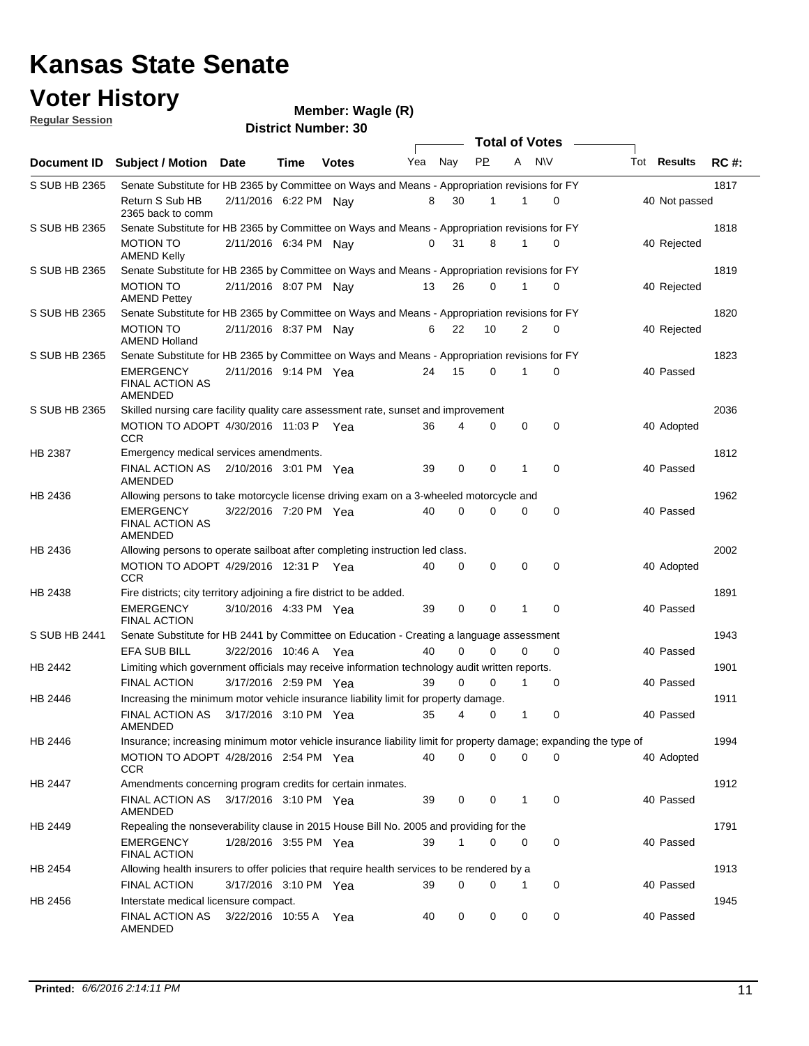### **Voter History**

### **Wagle (R)**

**Regular Session District Number: 30 Total of Votes**  $\sqrt{ }$ **Document ID Subject / Motion Date Time Votes** Yea Nay PP A NIV Tot Results RC #: Yea Nay **Date Votes Time Results** S SUB HB 2365 Senate Substitute for HB 2365 by Committee on Ways and Means - Appropriation revisions for FY Return S Sub HB 2/11/2016 6:22 PM Nay 8 30 1 0 40 Not passed 2365 back to comm S SUB HB 2365 Senate Substitute for HB 2365 by Committee on Ways and Means - Appropriation revisions for FY MOTION TO 2/11/2016 6:34 PM Nay 0 31 8 1 0 40 Rejected AMEND Kelly

|               | טו זושוושו<br><b>AMEND Kelly</b>                                                                                 | ואו ואט טוטבעווער און דער |  |    |                |                |                |             | <del>-ru indicemen</del> |      |
|---------------|------------------------------------------------------------------------------------------------------------------|---------------------------|--|----|----------------|----------------|----------------|-------------|--------------------------|------|
| S SUB HB 2365 | Senate Substitute for HB 2365 by Committee on Ways and Means - Appropriation revisions for FY                    |                           |  |    |                |                |                |             |                          | 1819 |
|               | <b>MOTION TO</b><br><b>AMEND Pettey</b>                                                                          | 2/11/2016 8:07 PM Nay     |  | 13 | 26             | $\mathbf 0$    | $\mathbf{1}$   | 0           | 40 Rejected              |      |
| S SUB HB 2365 | Senate Substitute for HB 2365 by Committee on Ways and Means - Appropriation revisions for FY                    |                           |  |    |                |                |                |             |                          | 1820 |
|               | <b>MOTION TO</b><br><b>AMEND Holland</b>                                                                         | 2/11/2016 8:37 PM Nay     |  | 6  | 22             | 10             | $\overline{2}$ | $\Omega$    | 40 Rejected              |      |
| S SUB HB 2365 | Senate Substitute for HB 2365 by Committee on Ways and Means - Appropriation revisions for FY                    |                           |  |    |                |                |                |             |                          | 1823 |
|               | <b>EMERGENCY</b><br><b>FINAL ACTION AS</b><br>AMENDED                                                            | 2/11/2016 9:14 PM Yea     |  | 24 | 15             | $\Omega$       | 1              | $\Omega$    | 40 Passed                |      |
| S SUB HB 2365 | Skilled nursing care facility quality care assessment rate, sunset and improvement                               |                           |  |    |                |                |                |             |                          | 2036 |
|               | MOTION TO ADOPT 4/30/2016 11:03 P Yea<br><b>CCR</b>                                                              |                           |  | 36 | 4              | 0              | $\mathbf 0$    | $\mathbf 0$ | 40 Adopted               |      |
| HB 2387       | Emergency medical services amendments.                                                                           |                           |  |    |                |                |                |             |                          | 1812 |
|               | FINAL ACTION AS<br>AMENDED                                                                                       | 2/10/2016 3:01 PM Yea     |  | 39 | 0              | $\mathbf 0$    | 1              | $\mathbf 0$ | 40 Passed                |      |
| HB 2436       | Allowing persons to take motorcycle license driving exam on a 3-wheeled motorcycle and                           |                           |  |    |                |                |                |             |                          | 1962 |
|               | <b>EMERGENCY</b><br><b>FINAL ACTION AS</b><br>AMENDED                                                            | 3/22/2016 7:20 PM Yea     |  | 40 | $\Omega$       | $\Omega$       | $\Omega$       | $\mathbf 0$ | 40 Passed                |      |
| HB 2436       | Allowing persons to operate sailboat after completing instruction led class.                                     |                           |  |    |                |                |                |             |                          | 2002 |
|               | MOTION TO ADOPT 4/29/2016 12:31 P Yea<br><b>CCR</b>                                                              |                           |  | 40 | $\mathbf 0$    | $\mathbf 0$    | 0              | $\mathbf 0$ | 40 Adopted               |      |
| HB 2438       | Fire districts; city territory adjoining a fire district to be added.                                            |                           |  |    |                |                |                |             |                          | 1891 |
|               | <b>EMERGENCY</b><br><b>FINAL ACTION</b>                                                                          | 3/10/2016 4:33 PM Yea     |  | 39 | $\mathbf 0$    | $\mathbf 0$    | $\mathbf{1}$   | $\mathbf 0$ | 40 Passed                |      |
| S SUB HB 2441 | Senate Substitute for HB 2441 by Committee on Education - Creating a language assessment                         |                           |  |    |                |                |                |             |                          | 1943 |
|               | EFA SUB BILL                                                                                                     | 3/22/2016 10:46 A Yea     |  | 40 | $\Omega$       | 0              | $\mathbf 0$    | $\mathbf 0$ | 40 Passed                |      |
| HB 2442       | Limiting which government officials may receive information technology audit written reports.                    |                           |  |    |                |                |                |             |                          | 1901 |
|               | <b>FINAL ACTION</b>                                                                                              | 3/17/2016 2:59 PM Yea     |  | 39 | 0              | $\Omega$       | 1              | $\Omega$    | 40 Passed                |      |
| HB 2446       | Increasing the minimum motor vehicle insurance liability limit for property damage.                              |                           |  |    |                |                |                |             |                          | 1911 |
|               | <b>FINAL ACTION AS</b><br><b>AMENDED</b>                                                                         | 3/17/2016 3:10 PM Yea     |  | 35 | 4              | 0              | $\mathbf{1}$   | $\mathbf 0$ | 40 Passed                |      |
| HB 2446       | Insurance; increasing minimum motor vehicle insurance liability limit for property damage; expanding the type of |                           |  |    |                |                |                |             |                          | 1994 |
|               | MOTION TO ADOPT 4/28/2016 2:54 PM Yea<br><b>CCR</b>                                                              |                           |  | 40 | $\overline{0}$ | $\overline{0}$ | $\Omega$       | 0           | 40 Adopted               |      |
| HB 2447       | Amendments concerning program credits for certain inmates.                                                       |                           |  |    |                |                |                |             |                          | 1912 |
|               | <b>FINAL ACTION AS</b><br>AMENDED                                                                                | 3/17/2016 3:10 PM Yea     |  | 39 | $\mathbf 0$    | $\mathbf 0$    | $\mathbf{1}$   | $\mathbf 0$ | 40 Passed                |      |
| HB 2449       | Repealing the nonseverability clause in 2015 House Bill No. 2005 and providing for the                           |                           |  |    |                |                |                |             |                          | 1791 |
|               | <b>EMERGENCY</b><br><b>FINAL ACTION</b>                                                                          | 1/28/2016 3:55 PM Yea     |  | 39 | 1              | 0              | $\Omega$       | $\mathbf 0$ | 40 Passed                |      |
| HB 2454       | Allowing health insurers to offer policies that require health services to be rendered by a                      |                           |  |    |                |                |                |             |                          | 1913 |
|               | <b>FINAL ACTION</b>                                                                                              | 3/17/2016 3:10 PM Yea     |  | 39 | 0              | 0              | 1              | $\mathbf 0$ | 40 Passed                |      |
| HB 2456       | Interstate medical licensure compact.                                                                            |                           |  |    |                |                |                |             |                          | 1945 |
|               | <b>FINAL ACTION AS</b><br>AMENDED                                                                                | 3/22/2016 10:55 A Yea     |  | 40 | $\Omega$       | 0              | 0              | 0           | 40 Passed                |      |

1817

1818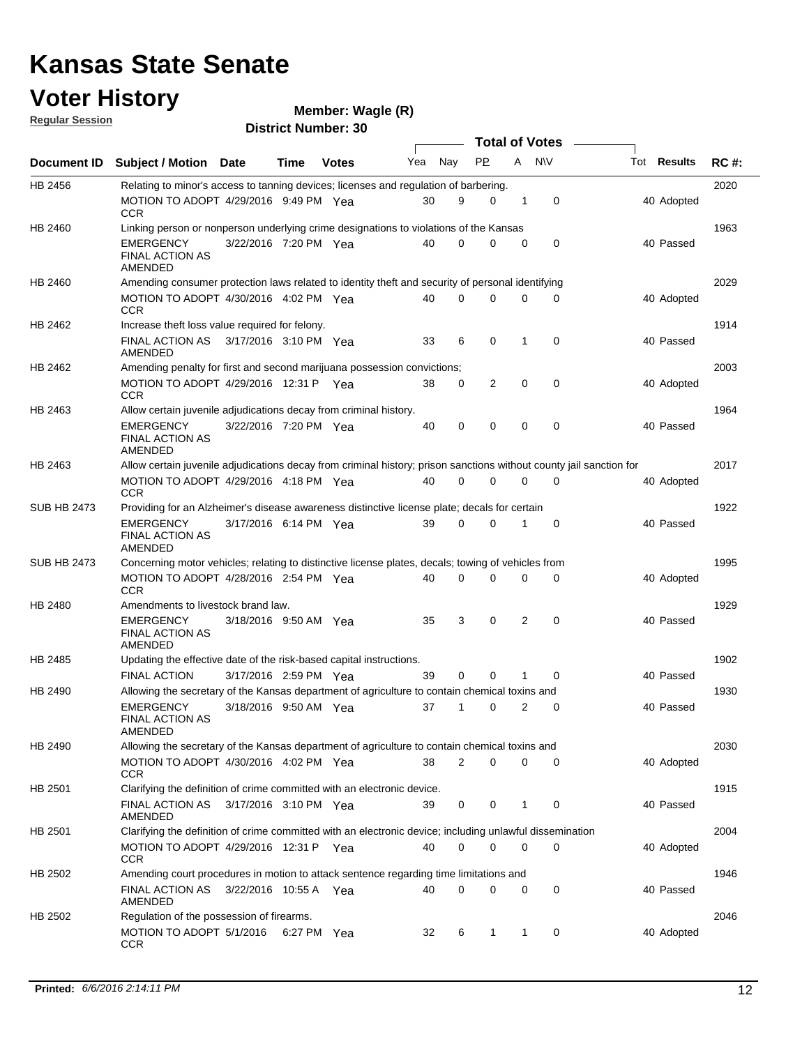### **Voter History Regular Session**

| <u>noquial Ocaaloni</u> |                                                                                                                     |                       |      | <b>District Number: 30</b> |     |             |           |   |                  |                    |             |
|-------------------------|---------------------------------------------------------------------------------------------------------------------|-----------------------|------|----------------------------|-----|-------------|-----------|---|------------------|--------------------|-------------|
|                         |                                                                                                                     |                       |      |                            |     |             |           |   | Total of Votes – |                    |             |
| Document ID             | Subject / Motion Date                                                                                               |                       | Time | <b>Votes</b>               | Yea | Nay         | <b>PP</b> | A | N\V              | Tot <b>Results</b> | <b>RC#:</b> |
| HB 2456                 | Relating to minor's access to tanning devices; licenses and regulation of barbering.                                |                       |      |                            |     |             |           |   |                  |                    | 2020        |
|                         | MOTION TO ADOPT 4/29/2016 9:49 PM Yea<br><b>CCR</b>                                                                 |                       |      |                            | 30  | 9           | 0         | 1 | $\mathbf 0$      | 40 Adopted         |             |
| HB 2460                 | Linking person or nonperson underlying crime designations to violations of the Kansas                               |                       |      |                            |     |             |           |   |                  |                    | 1963        |
|                         | <b>EMERGENCY</b><br><b>FINAL ACTION AS</b><br>AMENDED                                                               | 3/22/2016 7:20 PM Yea |      |                            | 40  | 0           | 0         | 0 | $\mathbf 0$      | 40 Passed          |             |
| HB 2460                 | Amending consumer protection laws related to identity theft and security of personal identifying                    |                       |      |                            |     |             |           |   |                  |                    | 2029        |
|                         | MOTION TO ADOPT 4/30/2016 4:02 PM Yea<br>CCR                                                                        |                       |      |                            | 40  | 0           | 0         | 0 | 0                | 40 Adopted         |             |
| HB 2462                 | Increase theft loss value required for felony.                                                                      |                       |      |                            |     |             |           |   |                  |                    | 1914        |
|                         | FINAL ACTION AS 3/17/2016 3:10 PM Yea<br>AMENDED                                                                    |                       |      |                            | 33  | 6           | 0         | 1 | $\mathbf 0$      | 40 Passed          |             |
| HB 2462                 | Amending penalty for first and second marijuana possession convictions;                                             |                       |      |                            |     |             |           |   |                  |                    | 2003        |
|                         | MOTION TO ADOPT 4/29/2016 12:31 P Yea<br><b>CCR</b>                                                                 |                       |      |                            | 38  | 0           | 2         | 0 | $\mathbf 0$      | 40 Adopted         |             |
| HB 2463                 | Allow certain juvenile adjudications decay from criminal history.                                                   |                       |      |                            |     |             |           |   |                  |                    | 1964        |
|                         | EMERGENCY<br><b>FINAL ACTION AS</b><br>AMENDED                                                                      | 3/22/2016 7:20 PM Yea |      |                            | 40  | 0           | 0         | 0 | 0                | 40 Passed          |             |
| HB 2463                 | Allow certain juvenile adjudications decay from criminal history; prison sanctions without county jail sanction for |                       |      |                            |     |             |           |   |                  |                    | 2017        |
|                         | MOTION TO ADOPT 4/29/2016 4:18 PM Yea<br><b>CCR</b>                                                                 |                       |      |                            | 40  | 0           | 0         | 0 | $\mathbf 0$      | 40 Adopted         |             |
| <b>SUB HB 2473</b>      | Providing for an Alzheimer's disease awareness distinctive license plate; decals for certain                        |                       |      |                            |     |             |           |   |                  |                    | 1922        |
|                         | <b>EMERGENCY</b><br><b>FINAL ACTION AS</b><br>AMENDED                                                               | 3/17/2016 6:14 PM Yea |      |                            | 39  | $\mathbf 0$ | 0         | 1 | $\mathbf 0$      | 40 Passed          |             |
| SUB HB 2473             | Concerning motor vehicles; relating to distinctive license plates, decals; towing of vehicles from                  |                       |      |                            |     |             |           |   |                  |                    | 1995        |
|                         | MOTION TO ADOPT 4/28/2016 2:54 PM Yea<br><b>CCR</b>                                                                 |                       |      |                            | 40  | 0           | 0         | 0 | 0                | 40 Adopted         |             |
| HB 2480                 | Amendments to livestock brand law.                                                                                  |                       |      |                            |     |             |           |   |                  |                    | 1929        |
|                         | <b>EMERGENCY</b><br><b>FINAL ACTION AS</b><br>AMENDED                                                               | 3/18/2016 9:50 AM Yea |      |                            | 35  | 3           | 0         | 2 | 0                | 40 Passed          |             |
| HB 2485                 | Updating the effective date of the risk-based capital instructions.                                                 |                       |      |                            |     |             |           |   |                  |                    | 1902        |
|                         | FINAL ACTION                                                                                                        | 3/17/2016 2:59 PM Yea |      |                            | 39  | 0           | 0         | 1 | $\mathbf 0$      | 40 Passed          |             |
| HB 2490                 | Allowing the secretary of the Kansas department of agriculture to contain chemical toxins and                       |                       |      |                            |     |             |           |   |                  |                    | 1930        |
|                         | <b>EMERGENCY</b><br><b>FINAL ACTION AS</b><br>AMENDED                                                               | 3/18/2016 9:50 AM Yea |      |                            | 37  | 1           | 0         | 2 | 0                | 40 Passed          |             |
| HB 2490                 | Allowing the secretary of the Kansas department of agriculture to contain chemical toxins and                       |                       |      |                            |     |             |           |   |                  |                    | 2030        |
|                         | MOTION TO ADOPT 4/30/2016 4:02 PM Yea<br>CCR                                                                        |                       |      |                            | 38  | 2           | 0         | 0 | 0                | 40 Adopted         |             |
| HB 2501                 | Clarifying the definition of crime committed with an electronic device.                                             |                       |      |                            |     |             |           |   |                  |                    | 1915        |
|                         | FINAL ACTION AS 3/17/2016 3:10 PM Yea<br><b>AMENDED</b>                                                             |                       |      |                            | 39  | 0           | 0         | 1 | 0                | 40 Passed          |             |
| HB 2501                 | Clarifying the definition of crime committed with an electronic device; including unlawful dissemination            |                       |      |                            |     |             |           |   |                  |                    | 2004        |
|                         | MOTION TO ADOPT 4/29/2016 12:31 P Yea<br>CCR                                                                        |                       |      |                            | 40  | 0           | 0         | 0 | 0                | 40 Adopted         |             |
| HB 2502                 | Amending court procedures in motion to attack sentence regarding time limitations and                               |                       |      |                            |     |             |           |   |                  |                    | 1946        |
|                         | FINAL ACTION AS<br>AMENDED                                                                                          | 3/22/2016 10:55 A Yea |      |                            | 40  | 0           | 0         | 0 | 0                | 40 Passed          |             |
| HB 2502                 | Regulation of the possession of firearms.                                                                           |                       |      |                            |     |             |           |   |                  |                    | 2046        |
|                         | MOTION TO ADOPT 5/1/2016 6:27 PM Yea<br>CCR                                                                         |                       |      |                            | 32  | 6           | 1         | 1 | 0                | 40 Adopted         |             |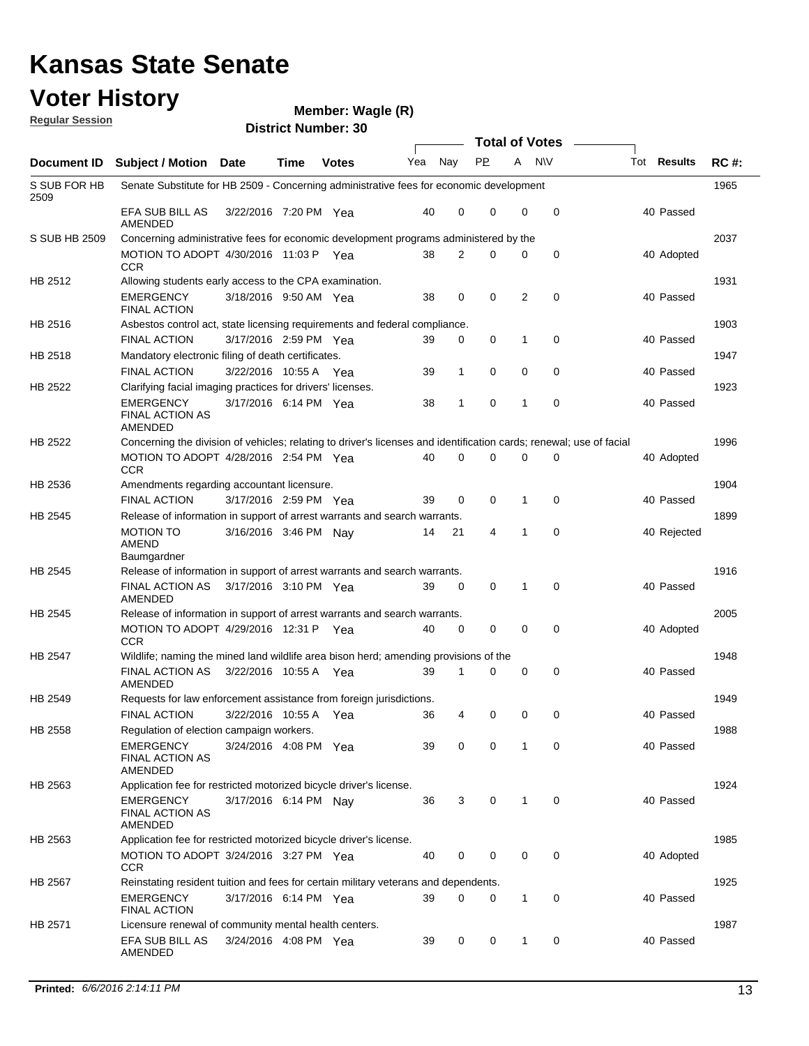### **Voter History Regular Session**

| <u>nuquial Uussiuli</u> |                                                                                                                     |                       |      | <b>District Number: 30</b> |     |             |                    |                       |           |                    |             |
|-------------------------|---------------------------------------------------------------------------------------------------------------------|-----------------------|------|----------------------------|-----|-------------|--------------------|-----------------------|-----------|--------------------|-------------|
|                         |                                                                                                                     |                       |      |                            |     |             |                    | <b>Total of Votes</b> |           |                    |             |
| Document ID             | Subject / Motion Date                                                                                               |                       | Time | <b>Votes</b>               | Yea | Nay         | <b>PP</b>          | A                     | <b>NV</b> | Tot <b>Results</b> | <b>RC#:</b> |
| S SUB FOR HB<br>2509    | Senate Substitute for HB 2509 - Concerning administrative fees for economic development                             |                       |      |                            |     |             |                    |                       |           |                    | 1965        |
|                         | EFA SUB BILL AS<br>AMENDED                                                                                          | 3/22/2016 7:20 PM Yea |      |                            | 40  | $\mathbf 0$ | 0                  | 0                     | 0         | 40 Passed          |             |
| S SUB HB 2509           | Concerning administrative fees for economic development programs administered by the                                |                       |      |                            |     |             |                    |                       |           |                    | 2037        |
|                         | MOTION TO ADOPT 4/30/2016 11:03 P Yea<br><b>CCR</b>                                                                 |                       |      |                            | 38  | 2           | 0                  | 0                     | 0         | 40 Adopted         |             |
| HB 2512                 | Allowing students early access to the CPA examination.                                                              |                       |      |                            |     |             |                    |                       |           |                    | 1931        |
|                         | <b>EMERGENCY</b><br><b>FINAL ACTION</b>                                                                             | 3/18/2016 9:50 AM Yea |      |                            | 38  | 0           | 0                  | 2                     | 0         | 40 Passed          |             |
| HB 2516                 | Asbestos control act, state licensing requirements and federal compliance.                                          |                       |      |                            |     |             |                    |                       |           |                    | 1903        |
|                         | <b>FINAL ACTION</b>                                                                                                 | 3/17/2016 2:59 PM Yea |      |                            | 39  | 0           | 0                  | 1                     | 0         | 40 Passed          |             |
| HB 2518                 | Mandatory electronic filing of death certificates.                                                                  |                       |      |                            |     |             |                    |                       |           |                    | 1947        |
|                         | <b>FINAL ACTION</b>                                                                                                 | 3/22/2016 10:55 A Yea |      |                            | 39  | 1           | 0                  | 0                     | 0         | 40 Passed          |             |
| HB 2522                 | Clarifying facial imaging practices for drivers' licenses.                                                          |                       |      |                            |     |             |                    |                       |           |                    | 1923        |
|                         | <b>EMERGENCY</b><br><b>FINAL ACTION AS</b><br>AMENDED                                                               | 3/17/2016 6:14 PM Yea |      |                            | 38  | 1           | 0                  | 1                     | 0         | 40 Passed          |             |
| HB 2522                 | Concerning the division of vehicles; relating to driver's licenses and identification cards; renewal; use of facial |                       |      |                            |     |             |                    |                       |           |                    | 1996        |
|                         | MOTION TO ADOPT 4/28/2016 2:54 PM Yea<br><b>CCR</b>                                                                 |                       |      |                            | 40  | $\mathbf 0$ | 0                  | 0                     | 0         | 40 Adopted         |             |
| HB 2536                 | Amendments regarding accountant licensure.                                                                          |                       |      |                            |     |             |                    |                       |           |                    | 1904        |
|                         | <b>FINAL ACTION</b>                                                                                                 | 3/17/2016 2:59 PM Yea |      |                            | 39  | 0           | 0                  | 1                     | 0         | 40 Passed          |             |
| HB 2545                 | Release of information in support of arrest warrants and search warrants.                                           |                       |      |                            |     |             |                    |                       |           |                    | 1899        |
|                         | <b>MOTION TO</b><br>AMEND<br>Baumgardner                                                                            | 3/16/2016 3:46 PM Nav |      |                            | 14  | 21          | 4                  | 1                     | 0         | 40 Rejected        |             |
| HB 2545                 | Release of information in support of arrest warrants and search warrants.                                           |                       |      |                            |     |             |                    |                       |           |                    | 1916        |
|                         | FINAL ACTION AS<br>AMENDED                                                                                          | 3/17/2016 3:10 PM Yea |      |                            | 39  | $\mathbf 0$ | 0                  | 1                     | 0         | 40 Passed          |             |
| HB 2545                 | Release of information in support of arrest warrants and search warrants.                                           |                       |      |                            |     |             |                    |                       |           |                    | 2005        |
|                         | MOTION TO ADOPT 4/29/2016 12:31 P Yea<br><b>CCR</b>                                                                 |                       |      |                            | 40  | 0           | 0                  | 0                     | 0         | 40 Adopted         |             |
| HB 2547                 | Wildlife; naming the mined land wildlife area bison herd; amending provisions of the                                |                       |      |                            |     |             |                    |                       |           |                    | 1948        |
|                         | <b>FINAL ACTION AS</b><br>AMENDED                                                                                   | 3/22/2016 10:55 A Yea |      |                            | 39  | 1           | 0                  | 0                     | 0         | 40 Passed          |             |
| HB 2549                 | Requests for law enforcement assistance from foreign jurisdictions.                                                 |                       |      |                            |     |             |                    |                       |           |                    | 1949        |
|                         | <b>FINAL ACTION</b>                                                                                                 | 3/22/2016 10:55 A Yea |      |                            |     |             | $\mathbf{\Lambda}$ |                       |           | 40 Passed          |             |
| HB 2558                 | Regulation of election campaign workers.                                                                            |                       |      |                            |     |             |                    |                       |           |                    | 1988        |
|                         | EMERGENCY<br><b>FINAL ACTION AS</b><br>AMENDED                                                                      | 3/24/2016 4:08 PM Yea |      |                            | 39  | 0           | 0                  | 1                     | 0         | 40 Passed          |             |
| HB 2563                 | Application fee for restricted motorized bicycle driver's license.                                                  |                       |      |                            |     |             |                    |                       |           |                    | 1924        |
|                         | EMERGENCY<br><b>FINAL ACTION AS</b><br>AMENDED                                                                      | 3/17/2016 6:14 PM Nav |      |                            | 36  | 3           | 0                  | 1                     | 0         | 40 Passed          |             |
| HB 2563                 | Application fee for restricted motorized bicycle driver's license.                                                  |                       |      |                            |     |             |                    |                       |           |                    | 1985        |
|                         | MOTION TO ADOPT 3/24/2016 3:27 PM Yea<br><b>CCR</b>                                                                 |                       |      |                            | 40  | 0           | 0                  | 0                     | 0         | 40 Adopted         |             |
| HB 2567                 | Reinstating resident tuition and fees for certain military veterans and dependents.                                 |                       |      |                            |     |             |                    |                       |           |                    | 1925        |
|                         | <b>EMERGENCY</b><br><b>FINAL ACTION</b>                                                                             | 3/17/2016 6:14 PM Yea |      |                            | 39  | $\mathbf 0$ | 0                  | 1                     | 0         | 40 Passed          |             |
| HB 2571                 | Licensure renewal of community mental health centers.                                                               |                       |      |                            |     |             |                    |                       |           |                    | 1987        |
|                         | EFA SUB BILL AS<br>AMENDED                                                                                          | 3/24/2016 4:08 PM Yea |      |                            | 39  | 0           | 0                  | 1                     | 0         | 40 Passed          |             |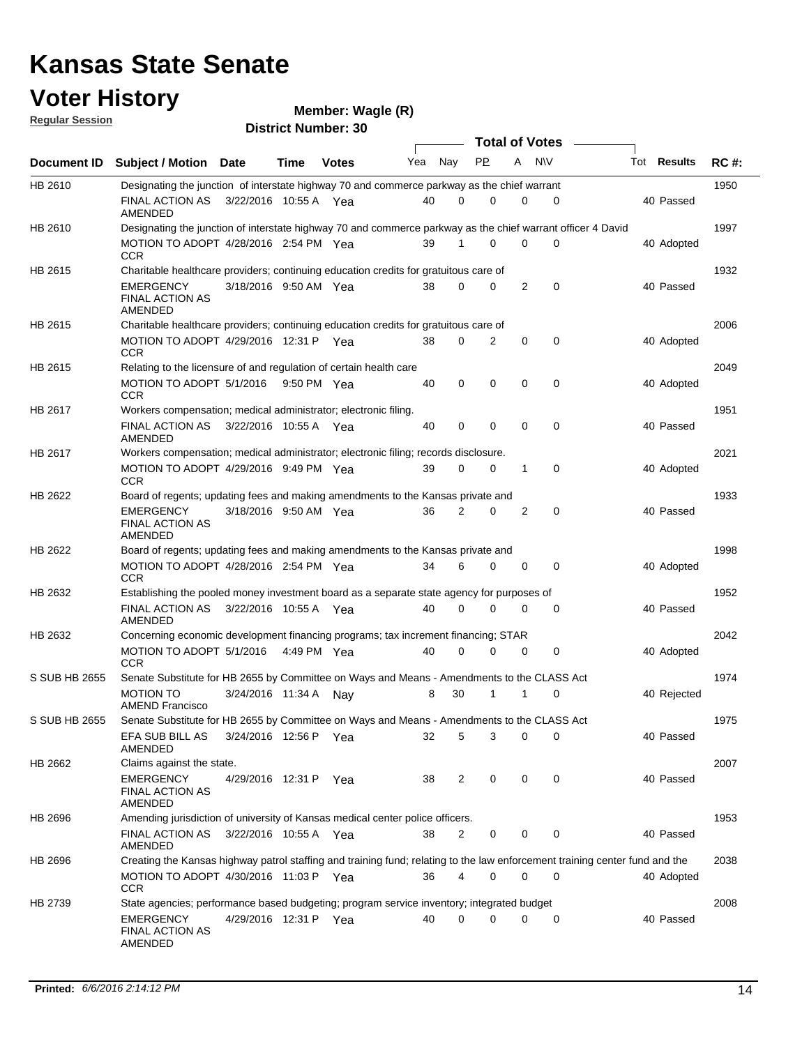### **Voter History Regular Session**

| <u>nuquial Uussiuli</u>                                                                                                                      | <b>District Number: 30</b>                                                                                                  |                       |             |              |     |             |             |             |                  |  |                    |             |
|----------------------------------------------------------------------------------------------------------------------------------------------|-----------------------------------------------------------------------------------------------------------------------------|-----------------------|-------------|--------------|-----|-------------|-------------|-------------|------------------|--|--------------------|-------------|
|                                                                                                                                              |                                                                                                                             |                       |             |              |     |             |             |             | Total of Votes – |  |                    |             |
| Document ID                                                                                                                                  | <b>Subject / Motion Date</b>                                                                                                |                       | Time        | <b>Votes</b> | Yea | Nay         | <b>PP</b>   | A           | <b>NV</b>        |  | Tot <b>Results</b> | <b>RC#:</b> |
| HB 2610                                                                                                                                      | Designating the junction of interstate highway 70 and commerce parkway as the chief warrant                                 |                       |             |              |     |             |             |             |                  |  |                    | 1950        |
|                                                                                                                                              | FINAL ACTION AS<br>AMENDED                                                                                                  | 3/22/2016 10:55 A Yea |             |              | 40  | 0           | 0           | 0           | 0                |  | 40 Passed          |             |
| HB 2610                                                                                                                                      | Designating the junction of interstate highway 70 and commerce parkway as the chief warrant officer 4 David                 |                       |             |              |     |             |             |             |                  |  |                    | 1997        |
|                                                                                                                                              | MOTION TO ADOPT 4/28/2016 2:54 PM Yea<br>CCR                                                                                |                       |             |              | 39  |             | 0           | $\Omega$    | $\mathbf 0$      |  | 40 Adopted         |             |
| HB 2615                                                                                                                                      | Charitable healthcare providers; continuing education credits for gratuitous care of                                        |                       |             |              |     |             |             |             |                  |  |                    | 1932        |
|                                                                                                                                              | <b>EMERGENCY</b><br><b>FINAL ACTION AS</b><br><b>AMENDED</b>                                                                | 3/18/2016 9:50 AM Yea |             |              | 38  | $\mathbf 0$ | 0           | 2           | $\mathbf 0$      |  | 40 Passed          |             |
| HB 2615                                                                                                                                      | Charitable healthcare providers; continuing education credits for gratuitous care of                                        |                       |             |              |     |             |             |             |                  |  |                    | 2006        |
|                                                                                                                                              | MOTION TO ADOPT 4/29/2016 12:31 P Yea<br><b>CCR</b>                                                                         |                       |             |              | 38  | 0           | 2           | $\mathbf 0$ | 0                |  | 40 Adopted         |             |
|                                                                                                                                              | Relating to the licensure of and regulation of certain health care                                                          |                       |             |              |     |             |             |             |                  |  |                    | 2049        |
|                                                                                                                                              | MOTION TO ADOPT 5/1/2016 9:50 PM Yea<br><b>CCR</b>                                                                          |                       |             |              | 40  | 0           | $\mathbf 0$ | $\mathbf 0$ | $\mathbf 0$      |  | 40 Adopted         |             |
|                                                                                                                                              | Workers compensation; medical administrator; electronic filing.                                                             |                       |             |              |     |             |             |             |                  |  |                    | 1951        |
|                                                                                                                                              | FINAL ACTION AS<br>AMENDED                                                                                                  | 3/22/2016 10:55 A Yea |             |              | 40  | 0           | 0           | $\mathbf 0$ | 0                |  | 40 Passed          |             |
|                                                                                                                                              | Workers compensation; medical administrator; electronic filing; records disclosure.                                         |                       |             |              |     |             |             |             |                  |  |                    | 2021        |
|                                                                                                                                              | MOTION TO ADOPT 4/29/2016 9:49 PM Yea<br><b>CCR</b>                                                                         |                       |             |              | 39  | 0           | 0           | 1           | 0                |  | 40 Adopted         |             |
| HB 2615<br>HB 2617<br>HB 2617<br>HB 2622<br>HB 2622<br>HB 2632<br>HB 2632<br>S SUB HB 2655<br>S SUB HB 2655<br>HB 2662<br>HB 2696<br>HB 2696 | Board of regents; updating fees and making amendments to the Kansas private and                                             |                       |             |              |     |             |             |             |                  |  |                    | 1933        |
|                                                                                                                                              | <b>EMERGENCY</b><br><b>FINAL ACTION AS</b><br>AMENDED                                                                       | 3/18/2016 9:50 AM Yea |             |              | 36  | 2           | 0           | 2           | 0                |  | 40 Passed          |             |
|                                                                                                                                              | Board of regents; updating fees and making amendments to the Kansas private and                                             |                       |             |              |     |             |             |             |                  |  |                    | 1998        |
|                                                                                                                                              | MOTION TO ADOPT 4/28/2016 2:54 PM Yea<br><b>CCR</b>                                                                         |                       |             |              | 34  | 6           | 0           | 0           | 0                |  | 40 Adopted         |             |
|                                                                                                                                              | Establishing the pooled money investment board as a separate state agency for purposes of                                   |                       |             |              |     |             |             |             |                  |  |                    | 1952        |
|                                                                                                                                              | FINAL ACTION AS<br><b>AMENDED</b>                                                                                           | 3/22/2016 10:55 A Yea |             |              | 40  | 0           | 0           | 0           | $\mathbf 0$      |  | 40 Passed          |             |
|                                                                                                                                              | Concerning economic development financing programs; tax increment financing; STAR                                           |                       |             |              |     |             |             |             |                  |  |                    | 2042        |
|                                                                                                                                              | MOTION TO ADOPT 5/1/2016<br><b>CCR</b>                                                                                      |                       | 4:49 PM Yea |              | 40  | $\Omega$    | 0           | $\mathbf 0$ | 0                |  | 40 Adopted         |             |
|                                                                                                                                              | Senate Substitute for HB 2655 by Committee on Ways and Means - Amendments to the CLASS Act                                  |                       |             |              |     |             |             |             |                  |  |                    | 1974        |
|                                                                                                                                              | <b>MOTION TO</b><br><b>AMEND Francisco</b>                                                                                  | 3/24/2016 11:34 A     |             | Nav          | 8   | 30          |             | 1           | 0                |  | 40 Rejected        |             |
|                                                                                                                                              | Senate Substitute for HB 2655 by Committee on Ways and Means - Amendments to the CLASS Act                                  |                       |             |              |     |             |             |             |                  |  |                    | 1975        |
|                                                                                                                                              | EFA SUB BILL AS<br>AMENDED                                                                                                  | 3/24/2016 12:56 P Yea |             |              | 32  | 5           | 3           | 0           | 0                |  | 40 Passed          |             |
| HB 2739                                                                                                                                      | Claims against the state.                                                                                                   |                       |             |              |     |             |             |             |                  |  |                    | 2007        |
|                                                                                                                                              | <b>EMERGENCY</b><br><b>FINAL ACTION AS</b><br>AMENDED                                                                       | 4/29/2016 12:31 P Yea |             |              | 38  | 2           | 0           | 0           | 0                |  | 40 Passed          |             |
|                                                                                                                                              | Amending jurisdiction of university of Kansas medical center police officers.                                               |                       |             |              |     |             |             |             |                  |  |                    | 1953        |
|                                                                                                                                              | FINAL ACTION AS<br>AMENDED                                                                                                  | 3/22/2016 10:55 A Yea |             |              | 38  | 2           | 0           | 0           | 0                |  | 40 Passed          |             |
|                                                                                                                                              | Creating the Kansas highway patrol staffing and training fund; relating to the law enforcement training center fund and the |                       |             |              |     |             |             |             |                  |  |                    | 2038        |
|                                                                                                                                              | MOTION TO ADOPT 4/30/2016 11:03 P Yea<br><b>CCR</b>                                                                         |                       |             |              | 36  | 4           | 0           | 0           | 0                |  | 40 Adopted         |             |
|                                                                                                                                              | State agencies; performance based budgeting; program service inventory; integrated budget                                   |                       |             |              |     |             |             |             |                  |  |                    | 2008        |
|                                                                                                                                              | EMERGENCY<br><b>FINAL ACTION AS</b><br>AMENDED                                                                              | 4/29/2016 12:31 P Yea |             |              | 40  | 0           | 0           | $\mathbf 0$ | 0                |  | 40 Passed          |             |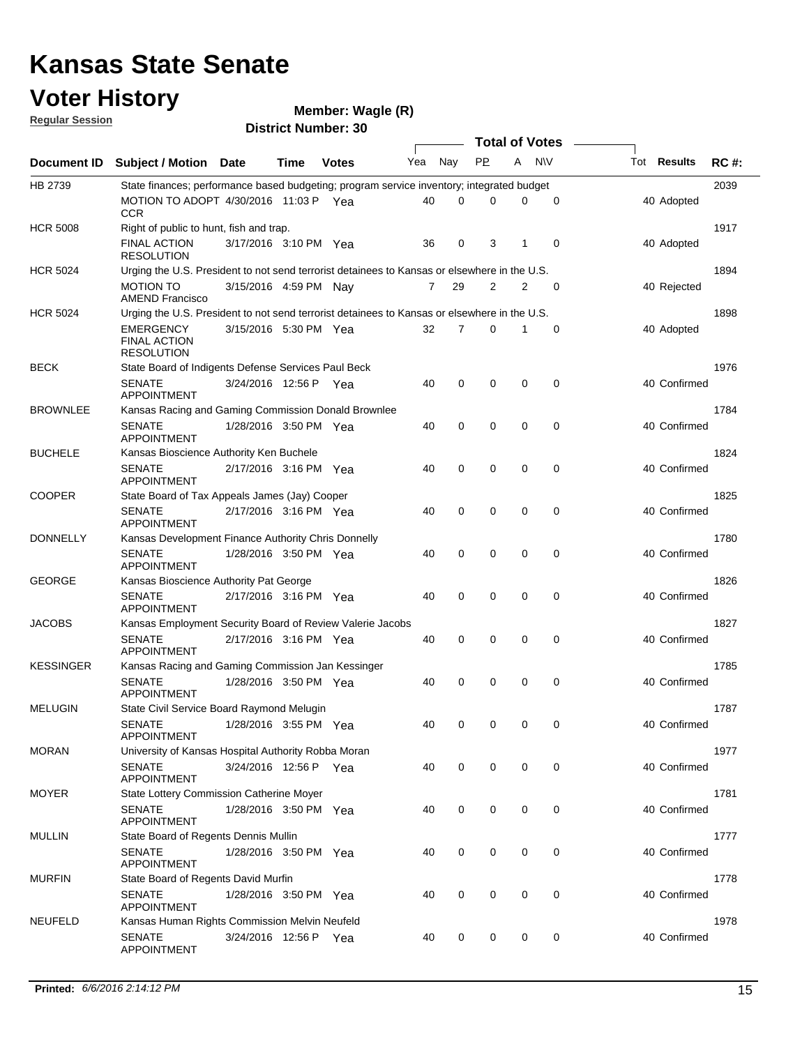## **Voter History**

**Wagle (R)**

**Regular Session**

| <b>District Number: 30</b> |  |  |
|----------------------------|--|--|

|                  |                                                                                                                                                  | <b>DISTRICT MAILINGLY</b><br><b>Total of Votes</b> |      |              |     |     |             |             |             |                    |      |
|------------------|--------------------------------------------------------------------------------------------------------------------------------------------------|----------------------------------------------------|------|--------------|-----|-----|-------------|-------------|-------------|--------------------|------|
| Document ID      | Subject / Motion Date                                                                                                                            |                                                    | Time | <b>Votes</b> | Yea | Nay | <b>PP</b>   | A           | <b>NV</b>   | Tot <b>Results</b> | RC#  |
|                  |                                                                                                                                                  |                                                    |      |              |     |     |             |             |             |                    |      |
| HB 2739          | State finances; performance based budgeting; program service inventory; integrated budget<br>MOTION TO ADOPT 4/30/2016 11:03 P Yea<br><b>CCR</b> |                                                    |      |              | 40  | 0   | 0           | 0           | 0           | 40 Adopted         | 2039 |
| <b>HCR 5008</b>  | Right of public to hunt, fish and trap.                                                                                                          |                                                    |      |              |     |     |             |             |             |                    | 1917 |
|                  | <b>FINAL ACTION</b><br><b>RESOLUTION</b>                                                                                                         | 3/17/2016 3:10 PM Yea                              |      |              | 36  | 0   | 3           |             | 0           | 40 Adopted         |      |
| <b>HCR 5024</b>  | Urging the U.S. President to not send terrorist detainees to Kansas or elsewhere in the U.S.                                                     |                                                    |      |              |     |     |             |             |             |                    | 1894 |
|                  | <b>MOTION TO</b><br><b>AMEND Francisco</b>                                                                                                       | 3/15/2016 4:59 PM Nay                              |      |              | 7   | 29  | 2           | 2           | 0           | 40 Rejected        |      |
| <b>HCR 5024</b>  | Urging the U.S. President to not send terrorist detainees to Kansas or elsewhere in the U.S.                                                     |                                                    |      |              |     |     |             |             |             |                    | 1898 |
|                  | <b>EMERGENCY</b><br><b>FINAL ACTION</b><br><b>RESOLUTION</b>                                                                                     | 3/15/2016 5:30 PM Yea                              |      |              | 32  | 7   | 0           |             | $\mathbf 0$ | 40 Adopted         |      |
| <b>BECK</b>      | State Board of Indigents Defense Services Paul Beck                                                                                              |                                                    |      |              |     |     |             |             |             |                    | 1976 |
|                  | <b>SENATE</b><br><b>APPOINTMENT</b>                                                                                                              | 3/24/2016 12:56 P Yea                              |      |              | 40  | 0   | 0           | 0           | 0           | 40 Confirmed       |      |
| <b>BROWNLEE</b>  | Kansas Racing and Gaming Commission Donald Brownlee                                                                                              |                                                    |      |              |     |     |             |             |             |                    | 1784 |
|                  | <b>SENATE</b><br><b>APPOINTMENT</b>                                                                                                              | 1/28/2016 3:50 PM Yea                              |      |              | 40  | 0   | 0           | $\mathbf 0$ | 0           | 40 Confirmed       |      |
| <b>BUCHELE</b>   | Kansas Bioscience Authority Ken Buchele                                                                                                          |                                                    |      |              |     |     |             |             |             |                    | 1824 |
|                  | <b>SENATE</b><br><b>APPOINTMENT</b>                                                                                                              | 2/17/2016 3:16 PM Yea                              |      |              | 40  | 0   | $\mathbf 0$ | 0           | 0           | 40 Confirmed       |      |
| <b>COOPER</b>    | State Board of Tax Appeals James (Jay) Cooper                                                                                                    |                                                    |      |              |     |     |             |             |             |                    | 1825 |
|                  | <b>SENATE</b><br><b>APPOINTMENT</b>                                                                                                              | 2/17/2016 3:16 PM Yea                              |      |              | 40  | 0   | 0           | $\mathbf 0$ | 0           | 40 Confirmed       |      |
| <b>DONNELLY</b>  | Kansas Development Finance Authority Chris Donnelly                                                                                              |                                                    |      |              |     |     |             |             |             |                    | 1780 |
|                  | <b>SENATE</b><br><b>APPOINTMENT</b>                                                                                                              | 1/28/2016 3:50 PM Yea                              |      |              | 40  | 0   | 0           | 0           | 0           | 40 Confirmed       |      |
| <b>GEORGE</b>    | Kansas Bioscience Authority Pat George                                                                                                           |                                                    |      |              |     |     | 0           | $\mathbf 0$ |             |                    | 1826 |
|                  | <b>SENATE</b><br><b>APPOINTMENT</b>                                                                                                              | 2/17/2016 3:16 PM Yea                              |      |              | 40  | 0   |             |             | 0           | 40 Confirmed       | 1827 |
| <b>JACOBS</b>    | Kansas Employment Security Board of Review Valerie Jacobs<br><b>SENATE</b>                                                                       |                                                    |      |              |     |     | 0           | 0           | 0           |                    |      |
|                  | <b>APPOINTMENT</b>                                                                                                                               | 2/17/2016 3:16 PM Yea                              |      |              | 40  | 0   |             |             |             | 40 Confirmed       |      |
| <b>KESSINGER</b> | Kansas Racing and Gaming Commission Jan Kessinger                                                                                                |                                                    |      |              |     |     |             |             |             |                    | 1785 |
|                  | <b>SENATE</b><br><b>APPOINTMENT</b>                                                                                                              | 1/28/2016 3:50 PM Yea                              |      |              | 40  | 0   | 0           | $\mathbf 0$ | 0           | 40 Confirmed       |      |
| <b>MELUGIN</b>   | State Civil Service Board Raymond Melugin                                                                                                        |                                                    |      |              |     |     |             |             |             |                    | 1787 |
|                  | <b>SENATE</b><br>APPOINTMENT                                                                                                                     | 1/28/2016 3:55 PM Yea                              |      |              | 40  |     | 0           | $\mathbf 0$ | 0           | 40 Confirmed       |      |
| <b>MORAN</b>     | University of Kansas Hospital Authority Robba Moran                                                                                              |                                                    |      |              |     |     |             |             |             |                    | 1977 |
|                  | <b>SENATE</b><br><b>APPOINTMENT</b>                                                                                                              | 3/24/2016 12:56 P Yea                              |      |              | 40  | 0   | 0           | 0           | 0           | 40 Confirmed       |      |
| <b>MOYER</b>     | State Lottery Commission Catherine Moyer                                                                                                         |                                                    |      |              |     |     |             |             |             |                    | 1781 |
|                  | <b>SENATE</b><br><b>APPOINTMENT</b>                                                                                                              | 1/28/2016 3:50 PM Yea                              |      |              | 40  | 0   | 0           | 0           | 0           | 40 Confirmed       |      |
| <b>MULLIN</b>    | State Board of Regents Dennis Mullin                                                                                                             |                                                    |      |              |     |     |             |             |             |                    | 1777 |
|                  | <b>SENATE</b><br><b>APPOINTMENT</b>                                                                                                              | 1/28/2016 3:50 PM Yea                              |      |              | 40  | 0   | 0           | 0           | 0           | 40 Confirmed       |      |
| <b>MURFIN</b>    | State Board of Regents David Murfin                                                                                                              |                                                    |      |              |     |     |             |             |             |                    | 1778 |
|                  | <b>SENATE</b><br>APPOINTMENT                                                                                                                     | 1/28/2016 3:50 PM Yea                              |      |              | 40  | 0   | 0           | 0           | 0           | 40 Confirmed       |      |
| <b>NEUFELD</b>   | Kansas Human Rights Commission Melvin Neufeld<br><b>SENATE</b><br><b>APPOINTMENT</b>                                                             | 3/24/2016 12:56 P Yea                              |      |              | 40  | 0   | $\mathbf 0$ | 0           | 0           | 40 Confirmed       | 1978 |